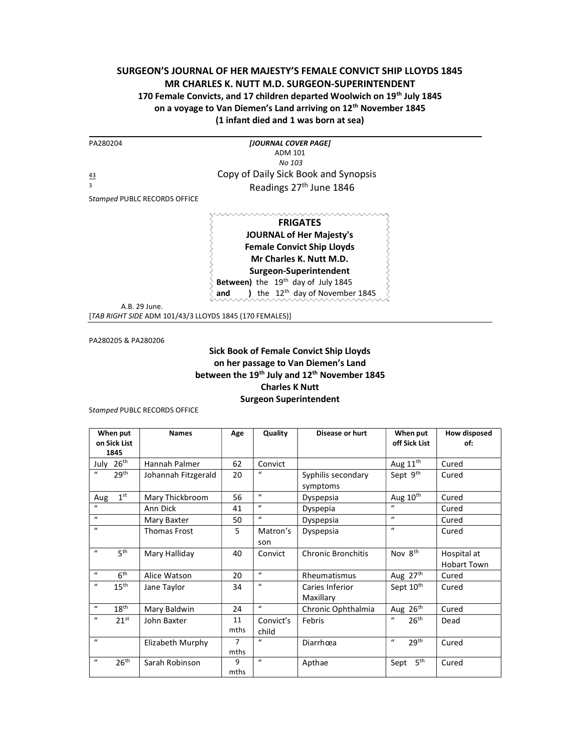## SURGEON'S JOURNAL OF HER MAJESTY'S FEMALE CONVICT SHIP LLOYDS 1845 MR CHARLES K. NUTT M.D. SURGEON-SUPERINTENDENT 170 Female Convicts, and 17 children departed Woolwich on 19th July 1845 on a voyage to Van Diemen's Land arriving on 12<sup>th</sup> November 1845 (1 infant died and 1 was born at sea)

| PA280204                     | [JOURNAL COVER PAGE]                 |
|------------------------------|--------------------------------------|
|                              | ADM 101                              |
|                              | No 103                               |
| 43                           | Copy of Daily Sick Book and Synopsis |
| 3                            | Readings 27 <sup>th</sup> June 1846  |
| Stamped PUBLC RECORDS OFFICE |                                      |
|                              |                                      |
|                              | <b>FRIGATES</b>                      |
|                              | <b>JOURNAL of Her Majesty's</b>      |
|                              | <b>Female Convict Ship Lloyds</b>    |
|                              | Mr Charles K. Nutt M.D.              |

くくくくく Surgeon-Superintendent  $\left\{ \right.$ Between) the 19<sup>th</sup> day of July 1845 and ) the  $12<sup>th</sup>$  day of November 1845

A.B. 29 June.

[TAB RIGHT SIDE ADM 101/43/3 LLOYDS 1845 (170 FEMALES)]

PA280205 & PA280206

## Sick Book of Female Convict Ship Lloyds on her passage to Van Diemen's Land between the 19<sup>th</sup> July and 12<sup>th</sup> November 1845 Charles K Nutt Surgeon Superintendent

Stamped PUBLC RECORDS OFFICE

| When put                             | <b>Names</b>        | Age  | Quality          | Disease or hurt                | When put                         | <b>How disposed</b> |
|--------------------------------------|---------------------|------|------------------|--------------------------------|----------------------------------|---------------------|
| on Sick List<br>1845                 |                     |      |                  |                                | off Sick List                    | of:                 |
| 26 <sup>th</sup><br>July             | Hannah Palmer       | 62   | Convict          |                                | Aug 11 <sup>th</sup>             | Cured               |
| $\boldsymbol{u}$<br>29 <sup>th</sup> | Johannah Fitzgerald | 20   | $\mathbf{u}$     | Syphilis secondary<br>symptoms | Sept 9th                         | Cured               |
| 1 <sup>st</sup><br>Aug               | Mary Thickbroom     | 56   | $\mathbf{u}$     | Dyspepsia                      | Aug 10 <sup>th</sup>             | Cured               |
| $\mathbf{u}$                         | Ann Dick            | 41   | $\boldsymbol{u}$ | Dyspepia                       | $\mathbf{u}$                     | Cured               |
| $\mathbf{u}$                         | Mary Baxter         | 50   | $\mathbf{u}$     | Dyspepsia                      | $\mathbf{u}$                     | Cured               |
| $\boldsymbol{u}$                     | <b>Thomas Frost</b> | 5    | Matron's         | Dyspepsia                      | $\mathbf{u}$                     | Cured               |
|                                      |                     |      | son              |                                |                                  |                     |
| 5 <sup>th</sup><br>$\bf{u}$          | Mary Halliday       | 40   | Convict          | <b>Chronic Bronchitis</b>      | Nov 8 <sup>th</sup>              | Hospital at         |
|                                      |                     |      |                  |                                |                                  | <b>Hobart Town</b>  |
| $\boldsymbol{u}$<br>6 <sup>th</sup>  | Alice Watson        | 20   | $\mathbf{u}$     | Rheumatismus                   | Aug 27th                         | Cured               |
| $15^{\text{th}}$<br>$\boldsymbol{u}$ | Jane Taylor         | 34   | $\mathbf{u}$     | Caries Inferior                | Sept 10 <sup>th</sup>            | Cured               |
|                                      |                     |      |                  | Maxillary                      |                                  |                     |
| $\boldsymbol{u}$<br>$18^{\text{th}}$ | Mary Baldwin        | 24   | $\mathbf{u}$     | Chronic Ophthalmia             | Aug 26th                         | Cured               |
| $\mathbf{u}$<br>21 <sup>st</sup>     | John Baxter         | 11   | Convict's        | Febris                         | $\mathbf{u}$<br>26 <sup>th</sup> | Dead                |
|                                      |                     | mths | child            |                                |                                  |                     |
| $\boldsymbol{u}$                     | Elizabeth Murphy    | 7    | $\mathbf{u}$     | Diarrhœa                       | 29 <sup>th</sup><br>$\bf{u}$     | Cured               |
|                                      |                     | mths |                  |                                |                                  |                     |
| 26 <sup>th</sup><br>$\bf{u}$         | Sarah Robinson      | 9    | $\boldsymbol{u}$ | Apthae                         | 5 <sup>th</sup><br>Sept          | Cured               |
|                                      |                     | mths |                  |                                |                                  |                     |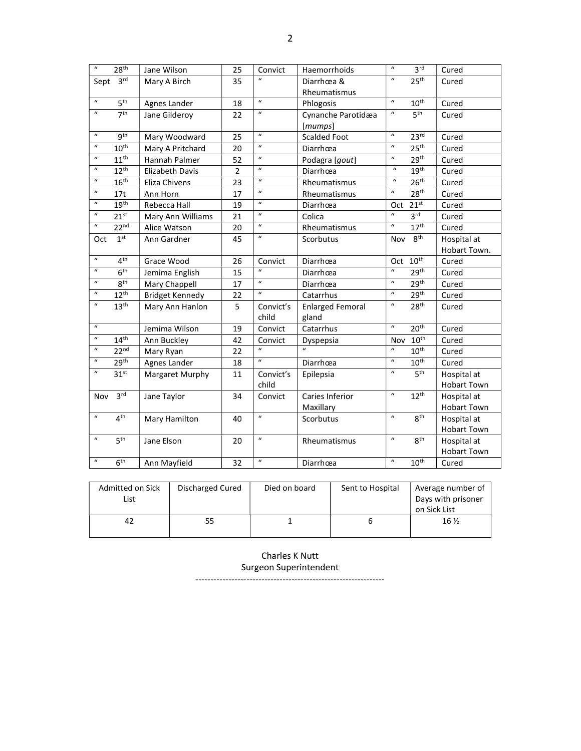| $\boldsymbol{u}$           | 28 <sup>th</sup> | Jane Wilson            | 25             | Convict          | Haemorrhoids            | $\boldsymbol{u}$           | 3 <sup>rd</sup>  | Cured              |
|----------------------------|------------------|------------------------|----------------|------------------|-------------------------|----------------------------|------------------|--------------------|
| Sept                       | 3 <sup>rd</sup>  | Mary A Birch           | 35             |                  | Diarrhœa &              | $\boldsymbol{u}$           | 25 <sup>th</sup> | Cured              |
|                            |                  |                        |                |                  | Rheumatismus            |                            |                  |                    |
| $\boldsymbol{u}$           | 5 <sup>th</sup>  | Agnes Lander           | 18             | $\overline{u}$   | Phlogosis               | $\boldsymbol{u}$           | $10^{th}$        | Cured              |
| $\boldsymbol{u}$           | 7 <sup>th</sup>  | Jane Gilderoy          | 22             | $\boldsymbol{u}$ | Cynanche Parotidæa      | $\boldsymbol{\mathcal{U}}$ | 5 <sup>th</sup>  | Cured              |
|                            |                  |                        |                |                  | [mumps]                 |                            |                  |                    |
| $\boldsymbol{u}$           | 9 <sup>th</sup>  | Mary Woodward          | 25             | $\boldsymbol{u}$ | <b>Scalded Foot</b>     | $\boldsymbol{u}$           | 23 <sup>rd</sup> | Cured              |
| $\boldsymbol{\mathcal{U}}$ | 10 <sup>th</sup> | Mary A Pritchard       | 20             | $\boldsymbol{u}$ | Diarrhœa                | $\boldsymbol{u}$           | 25 <sup>th</sup> | Cured              |
| $\boldsymbol{u}$           | $11^{th}$        | Hannah Palmer          | 52             | $\boldsymbol{u}$ | Podagra [gout]          | $\boldsymbol{u}$           | 29 <sup>th</sup> | Cured              |
| $\boldsymbol{u}$           | $12^{th}$        | Elizabeth Davis        | $\overline{2}$ | $\mathbf{u}$     | Diarrhœa                | $\boldsymbol{u}$           | 19 <sup>th</sup> | Cured              |
| $\boldsymbol{\mathcal{U}}$ | 16 <sup>th</sup> | Eliza Chivens          | 23             | $\boldsymbol{u}$ | Rheumatismus            | $\boldsymbol{\mathcal{U}}$ | 26 <sup>th</sup> | Cured              |
| $\boldsymbol{u}$           | 17t              | Ann Horn               | 17             | $\boldsymbol{u}$ | Rheumatismus            | $\boldsymbol{u}$           | 28 <sup>th</sup> | Cured              |
| $\boldsymbol{u}$           | 19 <sup>th</sup> | Rebecca Hall           | 19             | $\boldsymbol{u}$ | Diarrhœa                | Oct                        | 21 <sup>st</sup> | Cured              |
| $\boldsymbol{u}$           | 21 <sup>st</sup> | Mary Ann Williams      | 21             | $\boldsymbol{u}$ | Colica                  | $\boldsymbol{u}$           | 3 <sup>rd</sup>  | Cured              |
| $\boldsymbol{u}$           | 22 <sup>nd</sup> | Alice Watson           | 20             | $\boldsymbol{u}$ | Rheumatismus            | $\boldsymbol{u}$           | 17 <sup>th</sup> | Cured              |
| Oct                        | 1 <sup>st</sup>  | Ann Gardner            | 45             | $\boldsymbol{u}$ | Scorbutus               | Nov                        | 8 <sup>th</sup>  | Hospital at        |
|                            |                  |                        |                |                  |                         |                            |                  | Hobart Town.       |
| $\boldsymbol{u}$           | 4 <sup>th</sup>  | Grace Wood             | 26             | Convict          | Diarrhœa                | Oct                        | $10^{\text{th}}$ | Cured              |
| $\boldsymbol{u}$           | 6 <sup>th</sup>  | Jemima English         | 15             | $\mathbf{u}$     | Diarrhœa                | $\boldsymbol{u}$           | 29 <sup>th</sup> | Cured              |
| $\boldsymbol{u}$           | 8 <sup>th</sup>  | Mary Chappell          | 17             | $\boldsymbol{u}$ | Diarrhœa                | $\boldsymbol{u}$           | 29 <sup>th</sup> | Cured              |
| $\boldsymbol{u}$           | $12^{th}$        | <b>Bridget Kennedy</b> | 22             | $\boldsymbol{u}$ | Catarrhus               | $\boldsymbol{u}$           | 29 <sup>th</sup> | Cured              |
| $\boldsymbol{u}$           | 13 <sup>th</sup> | Mary Ann Hanlon        | 5              | Convict's        | <b>Enlarged Femoral</b> | $\boldsymbol{\mathcal{U}}$ | 28 <sup>th</sup> | Cured              |
|                            |                  |                        |                | child            | gland                   |                            |                  |                    |
| $\boldsymbol{u}$           |                  | Jemima Wilson          | 19             | Convict          | Catarrhus               | $\boldsymbol{u}$           | 20 <sup>th</sup> | Cured              |
| $\boldsymbol{u}$           | 14 <sup>th</sup> | Ann Buckley            | 42             | Convict          | Dyspepsia               | Nov                        | 10 <sup>th</sup> | Cured              |
| $\boldsymbol{\mathcal{U}}$ | 22 <sup>nd</sup> | Mary Ryan              | 22             | $\boldsymbol{u}$ |                         | $\boldsymbol{u}$           | $10^{\text{th}}$ | Cured              |
| $\boldsymbol{u}$           | 29 <sup>th</sup> | Agnes Lander           | 18             | $\boldsymbol{u}$ | Diarrhœa                | $\boldsymbol{u}$           | 10 <sup>th</sup> | Cured              |
| $\boldsymbol{\mathcal{U}}$ | 31 <sup>st</sup> | Margaret Murphy        | 11             | Convict's        | Epilepsia               | $\boldsymbol{\mathcal{U}}$ | 5 <sup>th</sup>  | Hospital at        |
|                            |                  |                        |                | child            |                         |                            |                  | <b>Hobart Town</b> |
| Nov                        | 3 <sup>rd</sup>  | Jane Taylor            | 34             | Convict          | Caries Inferior         | $\boldsymbol{u}$           | $12^{th}$        | Hospital at        |
|                            |                  |                        |                |                  | Maxillary               |                            |                  | <b>Hobart Town</b> |
| $\boldsymbol{\mathcal{U}}$ | 4 <sup>th</sup>  | Mary Hamilton          | 40             | $\boldsymbol{u}$ | Scorbutus               | $\boldsymbol{u}$           | 8 <sup>th</sup>  | Hospital at        |
|                            |                  |                        |                |                  |                         |                            |                  | <b>Hobart Town</b> |
| $\boldsymbol{u}$           | 5 <sup>th</sup>  | Jane Elson             | 20             | $\boldsymbol{u}$ | Rheumatismus            | $\boldsymbol{u}$           | 8 <sup>th</sup>  | Hospital at        |
|                            |                  |                        |                |                  |                         |                            |                  | <b>Hobart Town</b> |
| $\boldsymbol{u}$           | 6 <sup>th</sup>  | Ann Mayfield           | 32             | $\boldsymbol{u}$ | Diarrhœa                | $\boldsymbol{u}$           | 10 <sup>th</sup> | Cured              |

| Admitted on Sick<br>List | Discharged Cured | Died on board | Sent to Hospital | Average number of<br>Days with prisoner<br>on Sick List |
|--------------------------|------------------|---------------|------------------|---------------------------------------------------------|
| 42                       | 55               |               |                  | 16 $\frac{1}{2}$                                        |

Charles K Nutt Surgeon Superintendent

---------------------------------------------------------------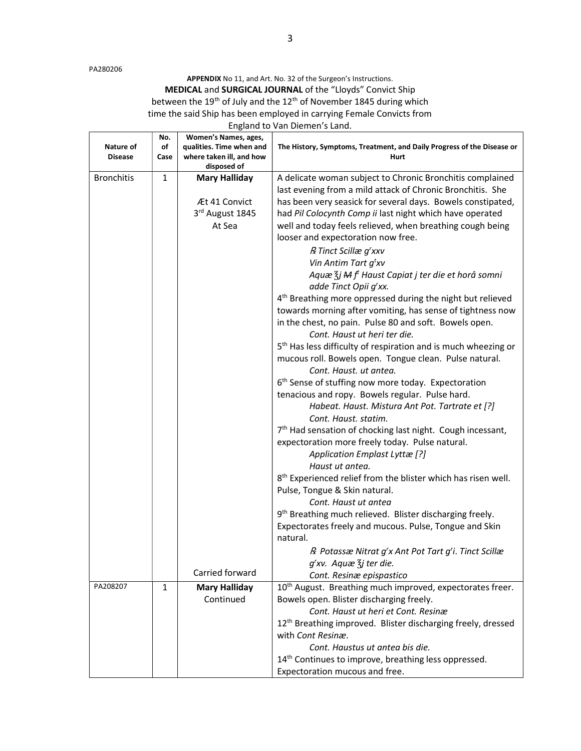PA280206

APPENDIX No 11, and Art. No. 32 of the Surgeon's Instructions. MEDICAL and SURGICAL JOURNAL of the "Lloyds" Convict Ship between the 19<sup>th</sup> of July and the 12<sup>th</sup> of November 1845 during which time the said Ship has been employed in carrying Female Convicts from England to Van Diemen's Land.

| Nature of<br><b>Disease</b> | No.<br>of<br>Case | Women's Names, ages,<br>qualities. Time when and<br>where taken ill, and how<br>disposed of | The History, Symptoms, Treatment, and Daily Progress of the Disease or<br>Hurt                                     |
|-----------------------------|-------------------|---------------------------------------------------------------------------------------------|--------------------------------------------------------------------------------------------------------------------|
| <b>Bronchitis</b>           | $\mathbf{1}$      | <b>Mary Halliday</b>                                                                        | A delicate woman subject to Chronic Bronchitis complained                                                          |
|                             |                   |                                                                                             | last evening from a mild attack of Chronic Bronchitis. She                                                         |
|                             |                   | Æt 41 Convict                                                                               | has been very seasick for several days. Bowels constipated,                                                        |
|                             |                   | 3rd August 1845                                                                             | had Pil Colocynth Comp ii last night which have operated                                                           |
|                             |                   | At Sea                                                                                      | well and today feels relieved, when breathing cough being<br>looser and expectoration now free.                    |
|                             |                   |                                                                                             | R Tinct Scillæ g'xxv                                                                                               |
|                             |                   |                                                                                             | Vin Antim Tart g <sup>t</sup> xv                                                                                   |
|                             |                   |                                                                                             | Aquæ $\zeta$ j M f <sup>t</sup> Haust Capiat j ter die et horâ somni<br>adde Tinct Opii g'xx.                      |
|                             |                   |                                                                                             | 4 <sup>th</sup> Breathing more oppressed during the night but relieved                                             |
|                             |                   |                                                                                             | towards morning after vomiting, has sense of tightness now                                                         |
|                             |                   |                                                                                             | in the chest, no pain. Pulse 80 and soft. Bowels open.<br>Cont. Haust ut heri ter die.                             |
|                             |                   |                                                                                             | 5 <sup>th</sup> Has less difficulty of respiration and is much wheezing or                                         |
|                             |                   |                                                                                             | mucous roll. Bowels open. Tongue clean. Pulse natural.                                                             |
|                             |                   |                                                                                             | Cont. Haust. ut antea.                                                                                             |
|                             |                   |                                                                                             | 6 <sup>th</sup> Sense of stuffing now more today. Expectoration<br>tenacious and ropy. Bowels regular. Pulse hard. |
|                             |                   |                                                                                             | Habeat. Haust. Mistura Ant Pot. Tartrate et [?]                                                                    |
|                             |                   |                                                                                             | Cont. Haust. statim.                                                                                               |
|                             |                   |                                                                                             | 7 <sup>th</sup> Had sensation of chocking last night. Cough incessant,                                             |
|                             |                   |                                                                                             | expectoration more freely today. Pulse natural.                                                                    |
|                             |                   |                                                                                             | Application Emplast Lyttæ [?]                                                                                      |
|                             |                   |                                                                                             | Haust ut antea.                                                                                                    |
|                             |                   |                                                                                             | 8 <sup>th</sup> Experienced relief from the blister which has risen well.<br>Pulse, Tongue & Skin natural.         |
|                             |                   |                                                                                             | Cont. Haust ut antea                                                                                               |
|                             |                   |                                                                                             | 9 <sup>th</sup> Breathing much relieved. Blister discharging freely.                                               |
|                             |                   |                                                                                             | Expectorates freely and mucous. Pulse, Tongue and Skin                                                             |
|                             |                   |                                                                                             | natural.                                                                                                           |
|                             |                   |                                                                                             | R Potassæ Nitrat g'x Ant Pot Tart g'i. Tinct Scillæ                                                                |
|                             |                   |                                                                                             | g'xv. Aquæ $\overline{\xi}$ j ter die.                                                                             |
|                             |                   | Carried forward                                                                             | Cont. Resinæ epispastico                                                                                           |
| PA208207                    | $\mathbf{1}$      | <b>Mary Halliday</b>                                                                        | 10 <sup>th</sup> August. Breathing much improved, expectorates freer.                                              |
|                             |                   | Continued                                                                                   | Bowels open. Blister discharging freely.                                                                           |
|                             |                   |                                                                                             | Cont. Haust ut heri et Cont. Resinæ                                                                                |
|                             |                   |                                                                                             | 12 <sup>th</sup> Breathing improved. Blister discharging freely, dressed                                           |
|                             |                   |                                                                                             | with Cont Resinæ.                                                                                                  |
|                             |                   |                                                                                             | Cont. Haustus ut antea bis die.                                                                                    |
|                             |                   |                                                                                             | 14 <sup>th</sup> Continues to improve, breathing less oppressed.<br>Expectoration mucous and free.                 |
|                             |                   |                                                                                             |                                                                                                                    |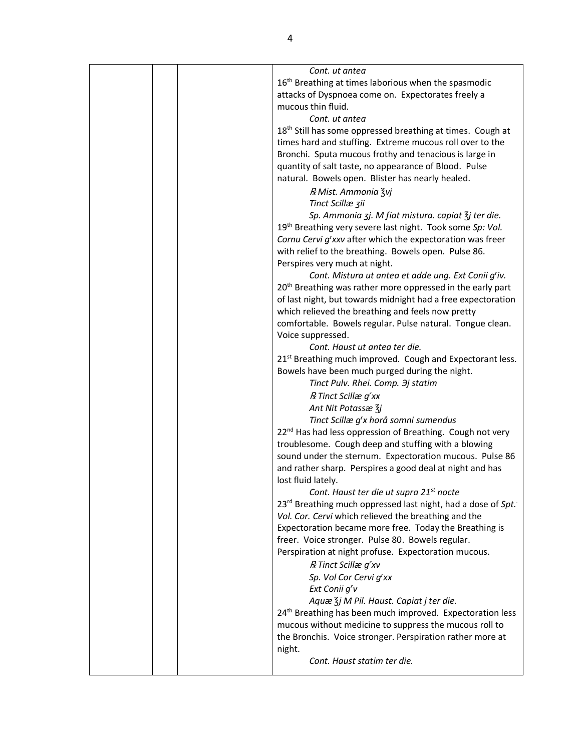|  | Cont. ut antea                                                           |
|--|--------------------------------------------------------------------------|
|  | 16 <sup>th</sup> Breathing at times laborious when the spasmodic         |
|  | attacks of Dyspnoea come on. Expectorates freely a                       |
|  | mucous thin fluid.                                                       |
|  | Cont. ut antea                                                           |
|  | 18 <sup>th</sup> Still has some oppressed breathing at times. Cough at   |
|  | times hard and stuffing. Extreme mucous roll over to the                 |
|  | Bronchi. Sputa mucous frothy and tenacious is large in                   |
|  | quantity of salt taste, no appearance of Blood. Pulse                    |
|  | natural. Bowels open. Blister has nearly healed.                         |
|  |                                                                          |
|  | R Mist. Ammonia Zvj                                                      |
|  | Tinct Scillæ zii                                                         |
|  | Sp. Ammonia zj. M fiat mistura. capiat $\overline{\xi}$ j ter die.       |
|  | 19 <sup>th</sup> Breathing very severe last night. Took some Sp: Vol.    |
|  | Cornu Cervi g'xxv after which the expectoration was freer                |
|  | with relief to the breathing. Bowels open. Pulse 86.                     |
|  | Perspires very much at night.                                            |
|  | Cont. Mistura ut antea et adde ung. Ext Conii g'iv.                      |
|  | 20 <sup>th</sup> Breathing was rather more oppressed in the early part   |
|  | of last night, but towards midnight had a free expectoration             |
|  | which relieved the breathing and feels now pretty                        |
|  | comfortable. Bowels regular. Pulse natural. Tongue clean.                |
|  | Voice suppressed.                                                        |
|  | Cont. Haust ut antea ter die.                                            |
|  | 21 <sup>st</sup> Breathing much improved. Cough and Expectorant less.    |
|  | Bowels have been much purged during the night.                           |
|  | Tinct Pulv. Rhei. Comp. 3j statim                                        |
|  | R Tinct Scillæ g'xx                                                      |
|  | Ant Nit Potassæ 3j                                                       |
|  | Tinct Scillæ g'x horâ somni sumendus                                     |
|  | 22 <sup>nd</sup> Has had less oppression of Breathing. Cough not very    |
|  | troublesome. Cough deep and stuffing with a blowing                      |
|  | sound under the sternum. Expectoration mucous. Pulse 86                  |
|  | and rather sharp. Perspires a good deal at night and has                 |
|  | lost fluid lately.                                                       |
|  | Cont. Haust ter die ut supra 21 <sup>st</sup> nocte                      |
|  | 23 <sup>rd</sup> Breathing much oppressed last night, had a dose of Spt. |
|  | Vol. Cor. Cervi which relieved the breathing and the                     |
|  | Expectoration became more free. Today the Breathing is                   |
|  | freer. Voice stronger. Pulse 80. Bowels regular.                         |
|  | Perspiration at night profuse. Expectoration mucous.                     |
|  | R Tinct Scillæ g'xv                                                      |
|  | Sp. Vol Cor Cervi g'xx                                                   |
|  |                                                                          |
|  | Ext Conii g'v<br>Aquæ $\frac{7}{3}$ j M Pil. Haust. Capiat j ter die.    |
|  |                                                                          |
|  | 24 <sup>th</sup> Breathing has been much improved. Expectoration less    |
|  | mucous without medicine to suppress the mucous roll to                   |
|  | the Bronchis. Voice stronger. Perspiration rather more at                |
|  | night.                                                                   |
|  | Cont. Haust statim ter die.                                              |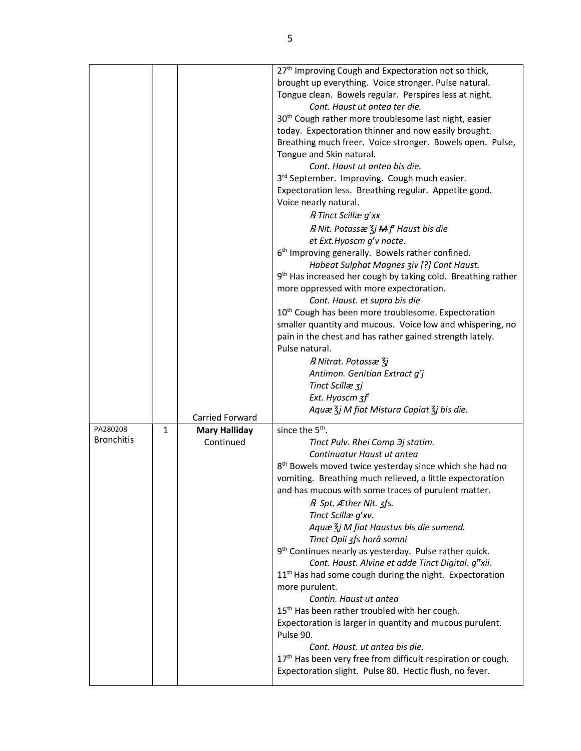|                   |              |                      | 27 <sup>th</sup> Improving Cough and Expectoration not so thick,<br>brought up everything. Voice stronger. Pulse natural.<br>Tongue clean. Bowels regular. Perspires less at night.<br>Cont. Haust ut antea ter die.<br>30 <sup>th</sup> Cough rather more troublesome last night, easier<br>today. Expectoration thinner and now easily brought.<br>Breathing much freer. Voice stronger. Bowels open. Pulse,<br>Tongue and Skin natural.<br>Cont. Haust ut antea bis die.<br>3rd September. Improving. Cough much easier.<br>Expectoration less. Breathing regular. Appetite good.<br>Voice nearly natural.<br>R Tinct Scillæ g'xx<br>$R$ Nit. Potassæ $\zeta$ j $M$ $ft$ Haust bis die<br>et Ext. Hyoscm g'v nocte.<br>6 <sup>th</sup> Improving generally. Bowels rather confined.<br>Habeat Sulphat Magnes ziv [?] Cont Haust.<br>9 <sup>th</sup> Has increased her cough by taking cold. Breathing rather<br>more oppressed with more expectoration.<br>Cont. Haust. et supra bis die<br>10 <sup>th</sup> Cough has been more troublesome. Expectoration<br>smaller quantity and mucous. Voice low and whispering, no<br>pain in the chest and has rather gained strength lately.<br>Pulse natural.<br>R Nitrat. Potassæ $\zeta j$<br>Antimon. Genitian Extract g'j<br>Tinct Scillæ 3j |
|-------------------|--------------|----------------------|----------------------------------------------------------------------------------------------------------------------------------------------------------------------------------------------------------------------------------------------------------------------------------------------------------------------------------------------------------------------------------------------------------------------------------------------------------------------------------------------------------------------------------------------------------------------------------------------------------------------------------------------------------------------------------------------------------------------------------------------------------------------------------------------------------------------------------------------------------------------------------------------------------------------------------------------------------------------------------------------------------------------------------------------------------------------------------------------------------------------------------------------------------------------------------------------------------------------------------------------------------------------------------------------|
|                   |              |                      | Ext. Hyoscm $3f^t$                                                                                                                                                                                                                                                                                                                                                                                                                                                                                                                                                                                                                                                                                                                                                                                                                                                                                                                                                                                                                                                                                                                                                                                                                                                                           |
|                   |              | Carried Forward      | Aquæ $\frac{7}{3}$ j M fiat Mistura Capiat $\frac{7}{3}$ j bis die.                                                                                                                                                                                                                                                                                                                                                                                                                                                                                                                                                                                                                                                                                                                                                                                                                                                                                                                                                                                                                                                                                                                                                                                                                          |
| PA280208          | $\mathbf{1}$ | <b>Mary Halliday</b> | since the 5 <sup>th</sup> .                                                                                                                                                                                                                                                                                                                                                                                                                                                                                                                                                                                                                                                                                                                                                                                                                                                                                                                                                                                                                                                                                                                                                                                                                                                                  |
| <b>Bronchitis</b> |              | Continued            | Tinct Pulv. Rhei Comp 3j statim.                                                                                                                                                                                                                                                                                                                                                                                                                                                                                                                                                                                                                                                                                                                                                                                                                                                                                                                                                                                                                                                                                                                                                                                                                                                             |
|                   |              |                      | Continuatur Haust ut antea                                                                                                                                                                                                                                                                                                                                                                                                                                                                                                                                                                                                                                                                                                                                                                                                                                                                                                                                                                                                                                                                                                                                                                                                                                                                   |
|                   |              |                      | 8 <sup>th</sup> Bowels moved twice yesterday since which she had no<br>vomiting. Breathing much relieved, a little expectoration<br>and has mucous with some traces of purulent matter.                                                                                                                                                                                                                                                                                                                                                                                                                                                                                                                                                                                                                                                                                                                                                                                                                                                                                                                                                                                                                                                                                                      |
|                   |              |                      | R Spt. Æther Nit. 3fs.                                                                                                                                                                                                                                                                                                                                                                                                                                                                                                                                                                                                                                                                                                                                                                                                                                                                                                                                                                                                                                                                                                                                                                                                                                                                       |
|                   |              |                      | Tinct Scillæ g'xv.                                                                                                                                                                                                                                                                                                                                                                                                                                                                                                                                                                                                                                                                                                                                                                                                                                                                                                                                                                                                                                                                                                                                                                                                                                                                           |
|                   |              |                      | Aquæ $\frac{7}{3}$ j M fiat Haustus bis die sumend.                                                                                                                                                                                                                                                                                                                                                                                                                                                                                                                                                                                                                                                                                                                                                                                                                                                                                                                                                                                                                                                                                                                                                                                                                                          |
|                   |              |                      | Tinct Opii 3fs horâ somni<br>9 <sup>th</sup> Continues nearly as yesterday. Pulse rather quick.                                                                                                                                                                                                                                                                                                                                                                                                                                                                                                                                                                                                                                                                                                                                                                                                                                                                                                                                                                                                                                                                                                                                                                                              |
|                   |              |                      | Cont. Haust. Alvine et adde Tinct Digital. g <sup>tt</sup> xii.                                                                                                                                                                                                                                                                                                                                                                                                                                                                                                                                                                                                                                                                                                                                                                                                                                                                                                                                                                                                                                                                                                                                                                                                                              |
|                   |              |                      | 11 <sup>th</sup> Has had some cough during the night. Expectoration                                                                                                                                                                                                                                                                                                                                                                                                                                                                                                                                                                                                                                                                                                                                                                                                                                                                                                                                                                                                                                                                                                                                                                                                                          |
|                   |              |                      | more purulent.                                                                                                                                                                                                                                                                                                                                                                                                                                                                                                                                                                                                                                                                                                                                                                                                                                                                                                                                                                                                                                                                                                                                                                                                                                                                               |
|                   |              |                      | Contin. Haust ut antea<br>15 <sup>th</sup> Has been rather troubled with her cough.                                                                                                                                                                                                                                                                                                                                                                                                                                                                                                                                                                                                                                                                                                                                                                                                                                                                                                                                                                                                                                                                                                                                                                                                          |
|                   |              |                      | Expectoration is larger in quantity and mucous purulent.<br>Pulse 90.                                                                                                                                                                                                                                                                                                                                                                                                                                                                                                                                                                                                                                                                                                                                                                                                                                                                                                                                                                                                                                                                                                                                                                                                                        |
|                   |              |                      | Cont. Haust, ut antea bis die.                                                                                                                                                                                                                                                                                                                                                                                                                                                                                                                                                                                                                                                                                                                                                                                                                                                                                                                                                                                                                                                                                                                                                                                                                                                               |
|                   |              |                      | 17 <sup>th</sup> Has been very free from difficult respiration or cough.                                                                                                                                                                                                                                                                                                                                                                                                                                                                                                                                                                                                                                                                                                                                                                                                                                                                                                                                                                                                                                                                                                                                                                                                                     |
|                   |              |                      | Expectoration slight. Pulse 80. Hectic flush, no fever.                                                                                                                                                                                                                                                                                                                                                                                                                                                                                                                                                                                                                                                                                                                                                                                                                                                                                                                                                                                                                                                                                                                                                                                                                                      |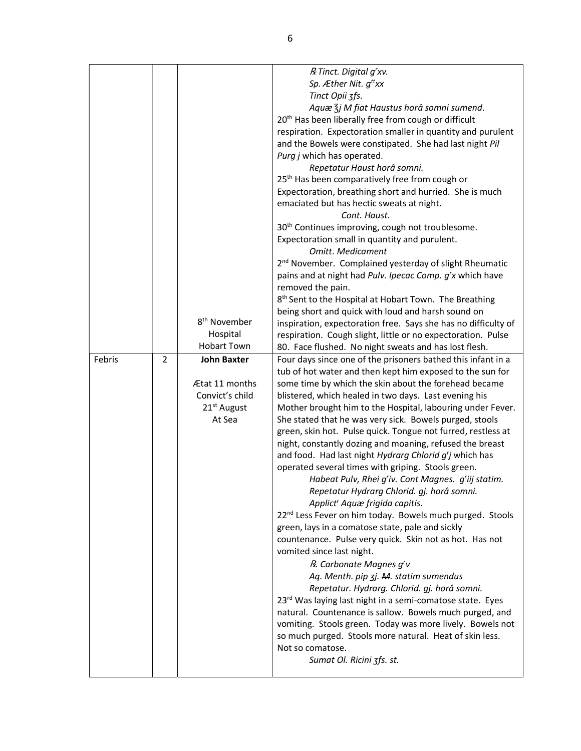|        |                |                                                            | R Tinct. Digital g'xv.<br>Sp. Æther Nit. $q^{tt}xx$<br>Tinct Opii 3fs.<br>Aquæ $\frac{7}{3}$ j M fiat Haustus horâ somni sumend.                                                                                                                                                                                                                                     |
|--------|----------------|------------------------------------------------------------|----------------------------------------------------------------------------------------------------------------------------------------------------------------------------------------------------------------------------------------------------------------------------------------------------------------------------------------------------------------------|
|        |                |                                                            | 20 <sup>th</sup> Has been liberally free from cough or difficult<br>respiration. Expectoration smaller in quantity and purulent<br>and the Bowels were constipated. She had last night Pil<br>Purg j which has operated.<br>Repetatur Haust horâ somni.                                                                                                              |
|        |                |                                                            | 25 <sup>th</sup> Has been comparatively free from cough or<br>Expectoration, breathing short and hurried. She is much<br>emaciated but has hectic sweats at night.<br>Cont. Haust.                                                                                                                                                                                   |
|        |                |                                                            | 30 <sup>th</sup> Continues improving, cough not troublesome.<br>Expectoration small in quantity and purulent.<br>Omitt. Medicament                                                                                                                                                                                                                                   |
|        |                |                                                            | 2 <sup>nd</sup> November. Complained yesterday of slight Rheumatic<br>pains and at night had Pulv. Ipecac Comp. g'x which have<br>removed the pain.                                                                                                                                                                                                                  |
|        |                |                                                            | 8 <sup>th</sup> Sent to the Hospital at Hobart Town. The Breathing<br>being short and quick with loud and harsh sound on                                                                                                                                                                                                                                             |
|        |                | 8 <sup>th</sup> November<br>Hospital<br><b>Hobart Town</b> | inspiration, expectoration free. Says she has no difficulty of<br>respiration. Cough slight, little or no expectoration. Pulse<br>80. Face flushed. No night sweats and has lost flesh.                                                                                                                                                                              |
| Febris | $\overline{2}$ | <b>John Baxter</b><br>Ætat 11 months                       | Four days since one of the prisoners bathed this infant in a<br>tub of hot water and then kept him exposed to the sun for<br>some time by which the skin about the forehead became                                                                                                                                                                                   |
|        |                | Convict's child<br>21 <sup>st</sup> August<br>At Sea       | blistered, which healed in two days. Last evening his<br>Mother brought him to the Hospital, labouring under Fever.<br>She stated that he was very sick. Bowels purged, stools<br>green, skin hot. Pulse quick. Tongue not furred, restless at<br>night, constantly dozing and moaning, refused the breast<br>and food. Had last night Hydrarg Chlorid g'j which has |
|        |                |                                                            | operated several times with griping. Stools green.<br>Habeat Pulv, Rhei g'iv. Cont Magnes. g'iij statim.<br>Repetatur Hydrarg Chlorid. gj. horâ somni.<br>Applict' Aquæ frigida capitis.                                                                                                                                                                             |
|        |                |                                                            | 22 <sup>nd</sup> Less Fever on him today. Bowels much purged. Stools<br>green, lays in a comatose state, pale and sickly<br>countenance. Pulse very quick. Skin not as hot. Has not<br>vomited since last night.                                                                                                                                                     |
|        |                |                                                            | R. Carbonate Magnes g'v<br>Aq. Menth. pip 3j. M. statim sumendus<br>Repetatur. Hydrarg. Chlorid. gj. horâ somni.<br>23rd Was laying last night in a semi-comatose state. Eyes<br>natural. Countenance is sallow. Bowels much purged, and                                                                                                                             |
|        |                |                                                            | vomiting. Stools green. Today was more lively. Bowels not<br>so much purged. Stools more natural. Heat of skin less.<br>Not so comatose.<br>Sumat Ol. Ricini 3fs. st.                                                                                                                                                                                                |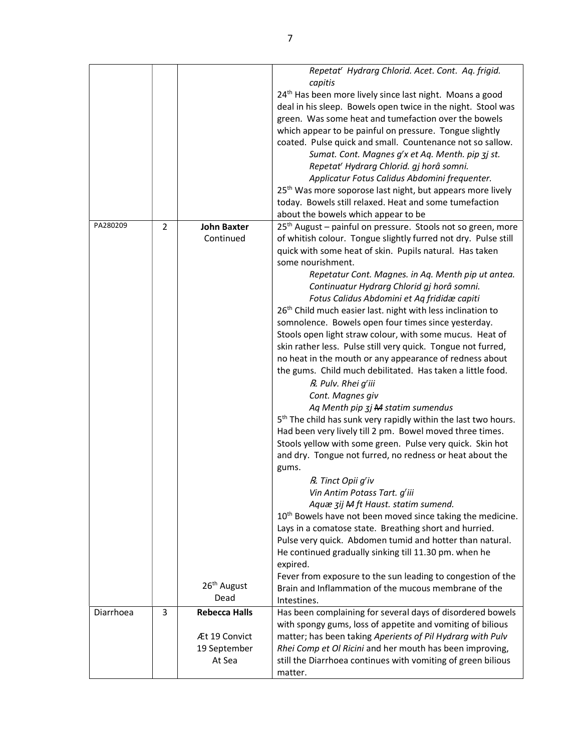| Repetat' Hydrarg Chlorid. Acet. Cont. Aq. frigid.                                                                                                  |  |
|----------------------------------------------------------------------------------------------------------------------------------------------------|--|
| capitis<br>24 <sup>th</sup> Has been more lively since last night. Moans a good                                                                    |  |
| deal in his sleep. Bowels open twice in the night. Stool was                                                                                       |  |
| green. Was some heat and tumefaction over the bowels                                                                                               |  |
| which appear to be painful on pressure. Tongue slightly                                                                                            |  |
| coated. Pulse quick and small. Countenance not so sallow.                                                                                          |  |
| Sumat. Cont. Magnes g'x et Aq. Menth. pip 3j st.                                                                                                   |  |
| Repetat' Hydrarg Chlorid. gj horâ somni.                                                                                                           |  |
| Applicatur Fotus Calidus Abdomini frequenter.                                                                                                      |  |
| 25 <sup>th</sup> Was more soporose last night, but appears more lively                                                                             |  |
| today. Bowels still relaxed. Heat and some tumefaction                                                                                             |  |
| about the bowels which appear to be                                                                                                                |  |
| PA280209<br>$\overline{2}$<br>25 <sup>th</sup> August - painful on pressure. Stools not so green, more<br><b>John Baxter</b>                       |  |
| Continued<br>of whitish colour. Tongue slightly furred not dry. Pulse still                                                                        |  |
| quick with some heat of skin. Pupils natural. Has taken                                                                                            |  |
| some nourishment.                                                                                                                                  |  |
| Repetatur Cont. Magnes. in Aq. Menth pip ut antea.                                                                                                 |  |
| Continuatur Hydrarg Chlorid gj horâ somni.                                                                                                         |  |
| Fotus Calidus Abdomini et Aq frididæ capiti                                                                                                        |  |
| 26 <sup>th</sup> Child much easier last. night with less inclination to                                                                            |  |
| somnolence. Bowels open four times since yesterday.                                                                                                |  |
| Stools open light straw colour, with some mucus. Heat of                                                                                           |  |
| skin rather less. Pulse still very quick. Tongue not furred,                                                                                       |  |
| no heat in the mouth or any appearance of redness about                                                                                            |  |
| the gums. Child much debilitated. Has taken a little food.                                                                                         |  |
| R. Pulv. Rhei g'iii                                                                                                                                |  |
| Cont. Magnes giv                                                                                                                                   |  |
| Aq Menth pip 3j M statim sumendus                                                                                                                  |  |
| 5 <sup>th</sup> The child has sunk very rapidly within the last two hours.                                                                         |  |
| Had been very lively till 2 pm. Bowel moved three times.                                                                                           |  |
| Stools yellow with some green. Pulse very quick. Skin hot                                                                                          |  |
| and dry. Tongue not furred, no redness or heat about the                                                                                           |  |
| gums.                                                                                                                                              |  |
| R. Tinct Opii g'iv                                                                                                                                 |  |
| Vin Antim Potass Tart. g'iii                                                                                                                       |  |
| Aquæ zij M ft Haust. statim sumend.                                                                                                                |  |
| 10 <sup>th</sup> Bowels have not been moved since taking the medicine.                                                                             |  |
| Lays in a comatose state. Breathing short and hurried.                                                                                             |  |
| Pulse very quick. Abdomen tumid and hotter than natural.                                                                                           |  |
| He continued gradually sinking till 11.30 pm. when he                                                                                              |  |
| expired.                                                                                                                                           |  |
| Fever from exposure to the sun leading to congestion of the                                                                                        |  |
| 26 <sup>th</sup> August<br>Brain and Inflammation of the mucous membrane of the<br>Dead                                                            |  |
| Intestines.                                                                                                                                        |  |
| 3<br>Diarrhoea<br><b>Rebecca Halls</b><br>Has been complaining for several days of disordered bowels                                               |  |
| with spongy gums, loss of appetite and vomiting of bilious                                                                                         |  |
|                                                                                                                                                    |  |
| Æt 19 Convict<br>matter; has been taking Aperients of Pil Hydrarg with Pulv                                                                        |  |
| 19 September<br>Rhei Comp et Ol Ricini and her mouth has been improving,<br>At Sea<br>still the Diarrhoea continues with vomiting of green bilious |  |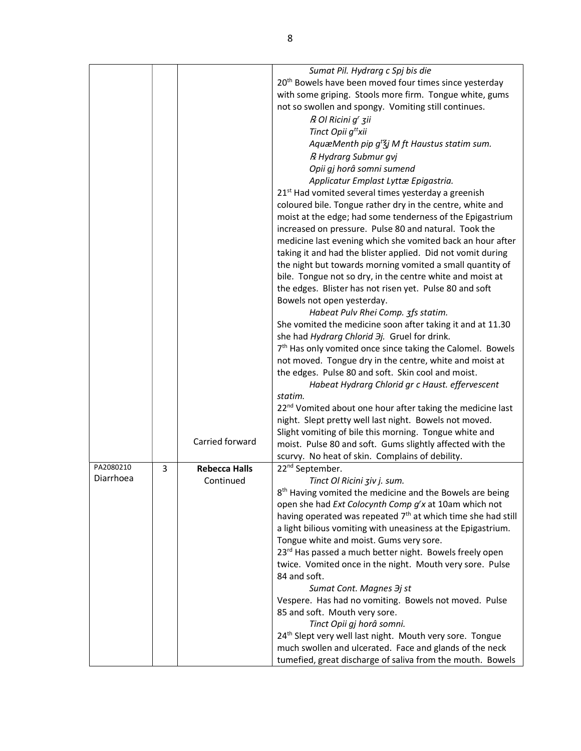|           |   |                      | Sumat Pil. Hydrarg c Spj bis die                                         |
|-----------|---|----------------------|--------------------------------------------------------------------------|
|           |   |                      | 20 <sup>th</sup> Bowels have been moved four times since yesterday       |
|           |   |                      | with some griping. Stools more firm. Tongue white, gums                  |
|           |   |                      | not so swollen and spongy. Vomiting still continues.                     |
|           |   |                      | R Ol Ricini g' zii                                                       |
|           |   |                      | Tinct Opii q <sup>tt</sup> xii                                           |
|           |   |                      | AquæMenth pip $g^{t}$ Zj M ft Haustus statim sum.                        |
|           |   |                      |                                                                          |
|           |   |                      | R Hydrarg Submur gvj                                                     |
|           |   |                      | Opii gj horâ somni sumend                                                |
|           |   |                      | Applicatur Emplast Lyttæ Epigastria.                                     |
|           |   |                      | 21 <sup>st</sup> Had vomited several times yesterday a greenish          |
|           |   |                      | coloured bile. Tongue rather dry in the centre, white and                |
|           |   |                      | moist at the edge; had some tenderness of the Epigastrium                |
|           |   |                      | increased on pressure. Pulse 80 and natural. Took the                    |
|           |   |                      | medicine last evening which she vomited back an hour after               |
|           |   |                      | taking it and had the blister applied. Did not vomit during              |
|           |   |                      | the night but towards morning vomited a small quantity of                |
|           |   |                      | bile. Tongue not so dry, in the centre white and moist at                |
|           |   |                      | the edges. Blister has not risen yet. Pulse 80 and soft                  |
|           |   |                      | Bowels not open yesterday.                                               |
|           |   |                      | Habeat Pulv Rhei Comp. 3fs statim.                                       |
|           |   |                      | She vomited the medicine soon after taking it and at 11.30               |
|           |   |                      |                                                                          |
|           |   |                      | she had Hydrarg Chlorid Jj. Gruel for drink.                             |
|           |   |                      | 7 <sup>th</sup> Has only vomited once since taking the Calomel. Bowels   |
|           |   |                      | not moved. Tongue dry in the centre, white and moist at                  |
|           |   |                      | the edges. Pulse 80 and soft. Skin cool and moist.                       |
|           |   |                      | Habeat Hydrarg Chlorid gr c Haust. effervescent                          |
|           |   |                      | statim.                                                                  |
|           |   |                      | 22 <sup>nd</sup> Vomited about one hour after taking the medicine last   |
|           |   |                      | night. Slept pretty well last night. Bowels not moved.                   |
|           |   |                      | Slight vomiting of bile this morning. Tongue white and                   |
|           |   | Carried forward      | moist. Pulse 80 and soft. Gums slightly affected with the                |
|           |   |                      | scurvy. No heat of skin. Complains of debility.                          |
| PA2080210 | 3 | <b>Rebecca Halls</b> | 22 <sup>nd</sup> September.                                              |
| Diarrhoea |   | Continued            | Tinct Ol Ricini ziv j. sum.                                              |
|           |   |                      | 8 <sup>th</sup> Having vomited the medicine and the Bowels are being     |
|           |   |                      | open she had Ext Colocynth Comp g'x at 10am which not                    |
|           |   |                      | having operated was repeated 7 <sup>th</sup> at which time she had still |
|           |   |                      | a light bilious vomiting with uneasiness at the Epigastrium.             |
|           |   |                      | Tongue white and moist. Gums very sore.                                  |
|           |   |                      | 23 <sup>rd</sup> Has passed a much better night. Bowels freely open      |
|           |   |                      |                                                                          |
|           |   |                      | twice. Vomited once in the night. Mouth very sore. Pulse                 |
|           |   |                      | 84 and soft.                                                             |
|           |   |                      | Sumat Cont. Magnes $\partial j$ st                                       |
|           |   |                      | Vespere. Has had no vomiting. Bowels not moved. Pulse                    |
|           |   |                      | 85 and soft. Mouth very sore.                                            |
|           |   |                      | Tinct Opii gj horâ somni.                                                |
|           |   |                      | 24 <sup>th</sup> Slept very well last night. Mouth very sore. Tongue     |
|           |   |                      | much swollen and ulcerated. Face and glands of the neck                  |
|           |   |                      | tumefied, great discharge of saliva from the mouth. Bowels               |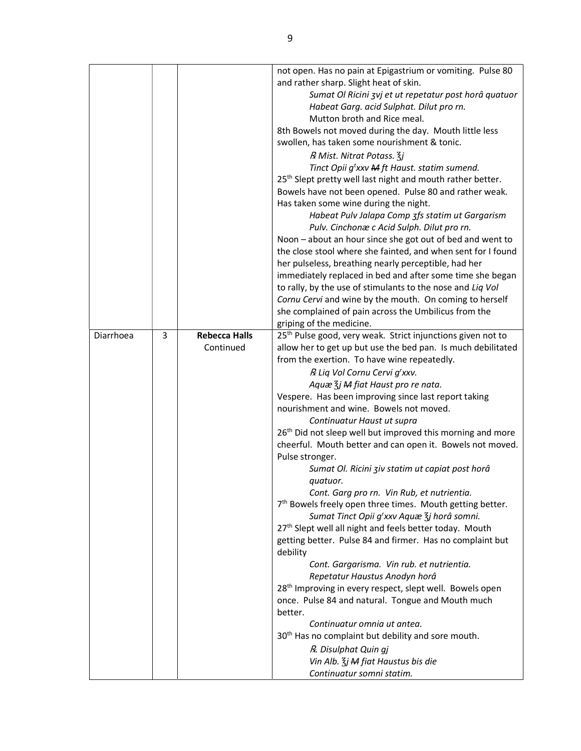|           |   |                      | not open. Has no pain at Epigastrium or vomiting. Pulse 80              |
|-----------|---|----------------------|-------------------------------------------------------------------------|
|           |   |                      | and rather sharp. Slight heat of skin.                                  |
|           |   |                      | Sumat Ol Ricini zvj et ut repetatur post horâ quatuor                   |
|           |   |                      | Habeat Garg. acid Sulphat. Dilut pro rn.                                |
|           |   |                      | Mutton broth and Rice meal.                                             |
|           |   |                      | 8th Bowels not moved during the day. Mouth little less                  |
|           |   |                      | swollen, has taken some nourishment & tonic.                            |
|           |   |                      | R Mist. Nitrat Potass. 3j                                               |
|           |   |                      | Tinct Opii g'xxv M ft Haust. statim sumend.                             |
|           |   |                      | 25 <sup>th</sup> Slept pretty well last night and mouth rather better.  |
|           |   |                      | Bowels have not been opened. Pulse 80 and rather weak.                  |
|           |   |                      | Has taken some wine during the night.                                   |
|           |   |                      | Habeat Pulv Jalapa Comp 3fs statim ut Gargarism                         |
|           |   |                      | Pulv. Cinchonæ c Acid Sulph. Dilut pro rn.                              |
|           |   |                      | Noon – about an hour since she got out of bed and went to               |
|           |   |                      | the close stool where she fainted, and when sent for I found            |
|           |   |                      | her pulseless, breathing nearly perceptible, had her                    |
|           |   |                      | immediately replaced in bed and after some time she began               |
|           |   |                      | to rally, by the use of stimulants to the nose and Liq Vol              |
|           |   |                      | Cornu Cervi and wine by the mouth. On coming to herself                 |
|           |   |                      | she complained of pain across the Umbilicus from the                    |
|           |   |                      | griping of the medicine.                                                |
| Diarrhoea | 3 | <b>Rebecca Halls</b> | 25 <sup>th</sup> Pulse good, very weak. Strict injunctions given not to |
|           |   | Continued            | allow her to get up but use the bed pan. Is much debilitated            |
|           |   |                      | from the exertion. To have wine repeatedly.                             |
|           |   |                      | R Liq Vol Cornu Cervi g'xxv.                                            |
|           |   |                      | Aquæ $\frac{7}{3}$ j M fiat Haust pro re nata.                          |
|           |   |                      | Vespere. Has been improving since last report taking                    |
|           |   |                      | nourishment and wine. Bowels not moved.                                 |
|           |   |                      | Continuatur Haust ut supra                                              |
|           |   |                      | 26 <sup>th</sup> Did not sleep well but improved this morning and more  |
|           |   |                      | cheerful. Mouth better and can open it. Bowels not moved.               |
|           |   |                      | Pulse stronger.                                                         |
|           |   |                      | Sumat Ol. Ricini ziv statim ut capiat post horâ                         |
|           |   |                      | quatuor.                                                                |
|           |   |                      | Cont. Garg pro rn. Vin Rub, et nutrientia.                              |
|           |   |                      | 7 <sup>th</sup> Bowels freely open three times. Mouth getting better.   |
|           |   |                      | Sumat Tinct Opii g'xxv Aquæ 3j horâ somni.                              |
|           |   |                      | 27 <sup>th</sup> Slept well all night and feels better today. Mouth     |
|           |   |                      | getting better. Pulse 84 and firmer. Has no complaint but<br>debility   |
|           |   |                      | Cont. Gargarisma. Vin rub. et nutrientia.                               |
|           |   |                      | Repetatur Haustus Anodyn horâ                                           |
|           |   |                      | 28 <sup>th</sup> Improving in every respect, slept well. Bowels open    |
|           |   |                      | once. Pulse 84 and natural. Tongue and Mouth much                       |
|           |   |                      | better.                                                                 |
|           |   |                      | Continuatur omnia ut antea.                                             |
|           |   |                      | 30 <sup>th</sup> Has no complaint but debility and sore mouth.          |
|           |   |                      | R. Disulphat Quin gj                                                    |
|           |   |                      | Vin Alb. $\zeta$ j M fiat Haustus bis die                               |
|           |   |                      | Continuatur somni statim.                                               |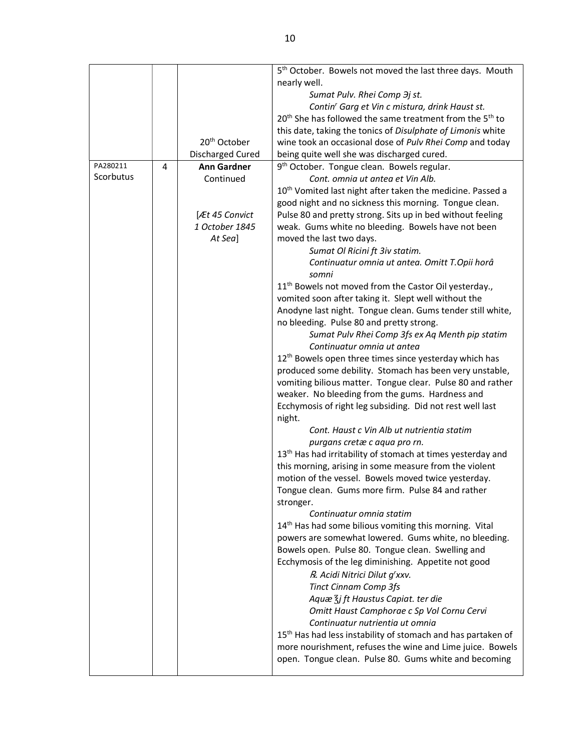|           |   |                          | 5 <sup>th</sup> October. Bowels not moved the last three days. Mouth             |
|-----------|---|--------------------------|----------------------------------------------------------------------------------|
|           |   |                          | nearly well.                                                                     |
|           |   |                          | Sumat Pulv. Rhei Comp 3j st.                                                     |
|           |   |                          | Contin' Garg et Vin c mistura, drink Haust st.                                   |
|           |   |                          | 20 <sup>th</sup> She has followed the same treatment from the 5 <sup>th</sup> to |
|           |   |                          | this date, taking the tonics of Disulphate of Limonis white                      |
|           |   | 20 <sup>th</sup> October | wine took an occasional dose of Pulv Rhei Comp and today                         |
|           |   | Discharged Cured         | being quite well she was discharged cured.                                       |
| PA280211  | 4 | <b>Ann Gardner</b>       | 9 <sup>th</sup> October. Tongue clean. Bowels regular.                           |
| Scorbutus |   | Continued                | Cont. omnia ut antea et Vin Alb.                                                 |
|           |   |                          | 10 <sup>th</sup> Vomited last night after taken the medicine. Passed a           |
|           |   |                          | good night and no sickness this morning. Tongue clean.                           |
|           |   | <b>Æt 45 Convict</b>     | Pulse 80 and pretty strong. Sits up in bed without feeling                       |
|           |   | 1 October 1845           | weak. Gums white no bleeding. Bowels have not been                               |
|           |   | At Sea]                  | moved the last two days.                                                         |
|           |   |                          | Sumat Ol Ricini ft 3iv statim.                                                   |
|           |   |                          | Continuatur omnia ut antea. Omitt T.Opii horâ                                    |
|           |   |                          | somni                                                                            |
|           |   |                          | 11 <sup>th</sup> Bowels not moved from the Castor Oil yesterday.,                |
|           |   |                          | vomited soon after taking it. Slept well without the                             |
|           |   |                          | Anodyne last night. Tongue clean. Gums tender still white,                       |
|           |   |                          | no bleeding. Pulse 80 and pretty strong.                                         |
|           |   |                          | Sumat Pulv Rhei Comp 3fs ex Aq Menth pip statim                                  |
|           |   |                          | Continuatur omnia ut antea                                                       |
|           |   |                          | 12 <sup>th</sup> Bowels open three times since yesterday which has               |
|           |   |                          | produced some debility. Stomach has been very unstable,                          |
|           |   |                          | vomiting bilious matter. Tongue clear. Pulse 80 and rather                       |
|           |   |                          | weaker. No bleeding from the gums. Hardness and                                  |
|           |   |                          | Ecchymosis of right leg subsiding. Did not rest well last                        |
|           |   |                          | night.                                                                           |
|           |   |                          | Cont. Haust c Vin Alb ut nutrientia statim                                       |
|           |   |                          | purgans cretæ c aqua pro rn.                                                     |
|           |   |                          | 13 <sup>th</sup> Has had irritability of stomach at times yesterday and          |
|           |   |                          | this morning, arising in some measure from the violent                           |
|           |   |                          | motion of the vessel. Bowels moved twice yesterday.                              |
|           |   |                          | Tongue clean. Gums more firm. Pulse 84 and rather                                |
|           |   |                          | stronger.                                                                        |
|           |   |                          | Continuatur omnia statim                                                         |
|           |   |                          | 14 <sup>th</sup> Has had some bilious vomiting this morning. Vital               |
|           |   |                          | powers are somewhat lowered. Gums white, no bleeding.                            |
|           |   |                          | Bowels open. Pulse 80. Tongue clean. Swelling and                                |
|           |   |                          | Ecchymosis of the leg diminishing. Appetite not good                             |
|           |   |                          | R. Acidi Nitrici Dilut g'xxv.                                                    |
|           |   |                          | <b>Tinct Cinnam Comp 3fs</b>                                                     |
|           |   |                          | Aquæ $\frac{7}{3}$ j ft Haustus Capiat. ter die                                  |
|           |   |                          | Omitt Haust Camphorae c Sp Vol Cornu Cervi                                       |
|           |   |                          | Continuatur nutrientia ut omnia                                                  |
|           |   |                          | 15 <sup>th</sup> Has had less instability of stomach and has partaken of         |
|           |   |                          | more nourishment, refuses the wine and Lime juice. Bowels                        |
|           |   |                          | open. Tongue clean. Pulse 80. Gums white and becoming                            |
|           |   |                          |                                                                                  |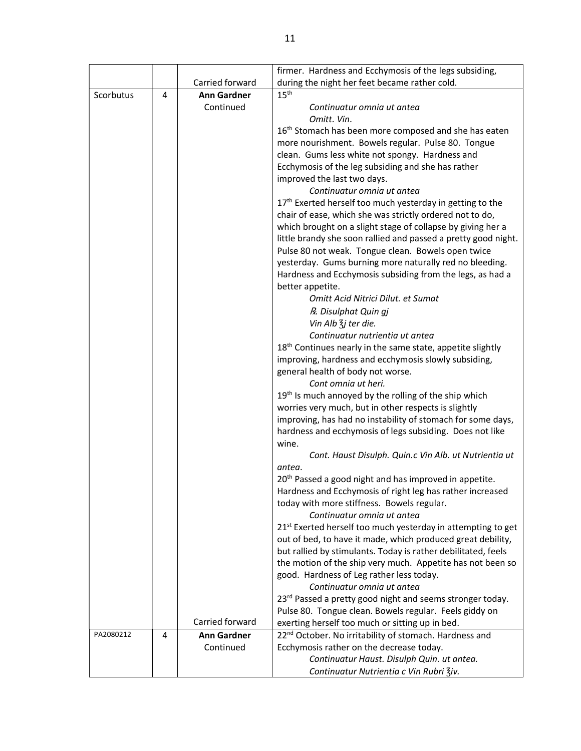|           |   |                                                    | firmer. Hardness and Ecchymosis of the legs subsiding,                                                                                                                                                                                                                                                                                                                                                                                                                                                                    |  |  |  |  |  |
|-----------|---|----------------------------------------------------|---------------------------------------------------------------------------------------------------------------------------------------------------------------------------------------------------------------------------------------------------------------------------------------------------------------------------------------------------------------------------------------------------------------------------------------------------------------------------------------------------------------------------|--|--|--|--|--|
|           |   | Carried forward                                    | during the night her feet became rather cold.                                                                                                                                                                                                                                                                                                                                                                                                                                                                             |  |  |  |  |  |
| Scorbutus | 4 | <b>Ann Gardner</b>                                 | 15 <sup>th</sup>                                                                                                                                                                                                                                                                                                                                                                                                                                                                                                          |  |  |  |  |  |
|           |   | Continued                                          | Continuatur omnia ut antea                                                                                                                                                                                                                                                                                                                                                                                                                                                                                                |  |  |  |  |  |
|           |   |                                                    | Omitt. Vin.                                                                                                                                                                                                                                                                                                                                                                                                                                                                                                               |  |  |  |  |  |
|           |   |                                                    | 16 <sup>th</sup> Stomach has been more composed and she has eaten                                                                                                                                                                                                                                                                                                                                                                                                                                                         |  |  |  |  |  |
|           |   |                                                    | more nourishment. Bowels regular. Pulse 80. Tongue                                                                                                                                                                                                                                                                                                                                                                                                                                                                        |  |  |  |  |  |
|           |   |                                                    | clean. Gums less white not spongy. Hardness and                                                                                                                                                                                                                                                                                                                                                                                                                                                                           |  |  |  |  |  |
|           |   |                                                    | Ecchymosis of the leg subsiding and she has rather                                                                                                                                                                                                                                                                                                                                                                                                                                                                        |  |  |  |  |  |
|           |   |                                                    | improved the last two days.                                                                                                                                                                                                                                                                                                                                                                                                                                                                                               |  |  |  |  |  |
|           |   |                                                    | Continuatur omnia ut antea                                                                                                                                                                                                                                                                                                                                                                                                                                                                                                |  |  |  |  |  |
|           |   |                                                    | 17 <sup>th</sup> Exerted herself too much yesterday in getting to the                                                                                                                                                                                                                                                                                                                                                                                                                                                     |  |  |  |  |  |
|           |   |                                                    | chair of ease, which she was strictly ordered not to do,                                                                                                                                                                                                                                                                                                                                                                                                                                                                  |  |  |  |  |  |
|           |   |                                                    | which brought on a slight stage of collapse by giving her a                                                                                                                                                                                                                                                                                                                                                                                                                                                               |  |  |  |  |  |
|           |   |                                                    | little brandy she soon rallied and passed a pretty good night.                                                                                                                                                                                                                                                                                                                                                                                                                                                            |  |  |  |  |  |
|           |   |                                                    | Pulse 80 not weak. Tongue clean. Bowels open twice                                                                                                                                                                                                                                                                                                                                                                                                                                                                        |  |  |  |  |  |
|           |   |                                                    | yesterday. Gums burning more naturally red no bleeding.                                                                                                                                                                                                                                                                                                                                                                                                                                                                   |  |  |  |  |  |
|           |   |                                                    | Hardness and Ecchymosis subsiding from the legs, as had a                                                                                                                                                                                                                                                                                                                                                                                                                                                                 |  |  |  |  |  |
|           |   |                                                    | better appetite.                                                                                                                                                                                                                                                                                                                                                                                                                                                                                                          |  |  |  |  |  |
|           |   |                                                    | Omitt Acid Nitrici Dilut. et Sumat                                                                                                                                                                                                                                                                                                                                                                                                                                                                                        |  |  |  |  |  |
|           |   |                                                    | R. Disulphat Quin gj                                                                                                                                                                                                                                                                                                                                                                                                                                                                                                      |  |  |  |  |  |
|           |   |                                                    | Vin Alb $\frac{7}{3}$ j ter die.                                                                                                                                                                                                                                                                                                                                                                                                                                                                                          |  |  |  |  |  |
|           |   |                                                    | Continuatur nutrientia ut antea                                                                                                                                                                                                                                                                                                                                                                                                                                                                                           |  |  |  |  |  |
|           |   |                                                    | 18 <sup>th</sup> Continues nearly in the same state, appetite slightly                                                                                                                                                                                                                                                                                                                                                                                                                                                    |  |  |  |  |  |
|           |   |                                                    | improving, hardness and ecchymosis slowly subsiding,                                                                                                                                                                                                                                                                                                                                                                                                                                                                      |  |  |  |  |  |
|           |   |                                                    | general health of body not worse.                                                                                                                                                                                                                                                                                                                                                                                                                                                                                         |  |  |  |  |  |
|           |   |                                                    | Cont omnia ut heri.                                                                                                                                                                                                                                                                                                                                                                                                                                                                                                       |  |  |  |  |  |
|           |   |                                                    | 19 <sup>th</sup> Is much annoyed by the rolling of the ship which                                                                                                                                                                                                                                                                                                                                                                                                                                                         |  |  |  |  |  |
|           |   |                                                    | worries very much, but in other respects is slightly                                                                                                                                                                                                                                                                                                                                                                                                                                                                      |  |  |  |  |  |
|           |   |                                                    | improving, has had no instability of stomach for some days,                                                                                                                                                                                                                                                                                                                                                                                                                                                               |  |  |  |  |  |
|           |   |                                                    | hardness and ecchymosis of legs subsiding. Does not like                                                                                                                                                                                                                                                                                                                                                                                                                                                                  |  |  |  |  |  |
|           |   |                                                    | wine.                                                                                                                                                                                                                                                                                                                                                                                                                                                                                                                     |  |  |  |  |  |
|           |   |                                                    | Cont. Haust Disulph. Quin.c Vin Alb. ut Nutrientia ut                                                                                                                                                                                                                                                                                                                                                                                                                                                                     |  |  |  |  |  |
|           |   |                                                    | antea.                                                                                                                                                                                                                                                                                                                                                                                                                                                                                                                    |  |  |  |  |  |
|           |   |                                                    | 20 <sup>th</sup> Passed a good night and has improved in appetite.                                                                                                                                                                                                                                                                                                                                                                                                                                                        |  |  |  |  |  |
|           |   |                                                    | Hardness and Ecchymosis of right leg has rather increased                                                                                                                                                                                                                                                                                                                                                                                                                                                                 |  |  |  |  |  |
|           |   |                                                    | today with more stiffness. Bowels regular.                                                                                                                                                                                                                                                                                                                                                                                                                                                                                |  |  |  |  |  |
|           |   |                                                    | Continuatur omnia ut antea                                                                                                                                                                                                                                                                                                                                                                                                                                                                                                |  |  |  |  |  |
|           |   |                                                    | 21 <sup>st</sup> Exerted herself too much yesterday in attempting to get                                                                                                                                                                                                                                                                                                                                                                                                                                                  |  |  |  |  |  |
|           |   |                                                    | out of bed, to have it made, which produced great debility,                                                                                                                                                                                                                                                                                                                                                                                                                                                               |  |  |  |  |  |
|           |   |                                                    | but rallied by stimulants. Today is rather debilitated, feels                                                                                                                                                                                                                                                                                                                                                                                                                                                             |  |  |  |  |  |
|           |   |                                                    |                                                                                                                                                                                                                                                                                                                                                                                                                                                                                                                           |  |  |  |  |  |
|           |   |                                                    |                                                                                                                                                                                                                                                                                                                                                                                                                                                                                                                           |  |  |  |  |  |
|           |   |                                                    |                                                                                                                                                                                                                                                                                                                                                                                                                                                                                                                           |  |  |  |  |  |
|           |   |                                                    |                                                                                                                                                                                                                                                                                                                                                                                                                                                                                                                           |  |  |  |  |  |
|           |   |                                                    |                                                                                                                                                                                                                                                                                                                                                                                                                                                                                                                           |  |  |  |  |  |
|           |   |                                                    |                                                                                                                                                                                                                                                                                                                                                                                                                                                                                                                           |  |  |  |  |  |
|           |   |                                                    |                                                                                                                                                                                                                                                                                                                                                                                                                                                                                                                           |  |  |  |  |  |
|           |   |                                                    |                                                                                                                                                                                                                                                                                                                                                                                                                                                                                                                           |  |  |  |  |  |
|           |   |                                                    |                                                                                                                                                                                                                                                                                                                                                                                                                                                                                                                           |  |  |  |  |  |
| PA2080212 | 4 | Carried forward<br><b>Ann Gardner</b><br>Continued | the motion of the ship very much. Appetite has not been so<br>good. Hardness of Leg rather less today.<br>Continuatur omnia ut antea<br>23rd Passed a pretty good night and seems stronger today.<br>Pulse 80. Tongue clean. Bowels regular. Feels giddy on<br>exerting herself too much or sitting up in bed.<br>22 <sup>nd</sup> October. No irritability of stomach. Hardness and<br>Ecchymosis rather on the decrease today.<br>Continuatur Haust. Disulph Quin. ut antea.<br>Continuatur Nutrientia c Vin Rubri Ziv. |  |  |  |  |  |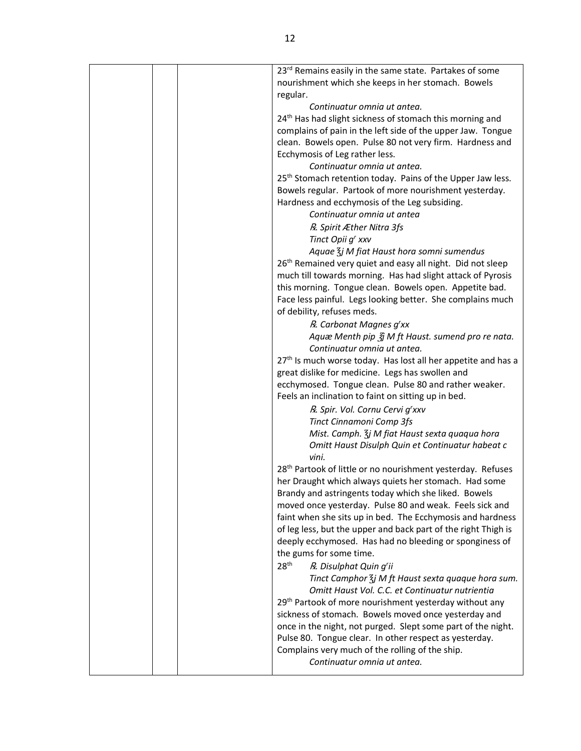|  | 23 <sup>rd</sup> Remains easily in the same state. Partakes of some       |
|--|---------------------------------------------------------------------------|
|  | nourishment which she keeps in her stomach. Bowels                        |
|  | regular.                                                                  |
|  | Continuatur omnia ut antea.                                               |
|  | 24 <sup>th</sup> Has had slight sickness of stomach this morning and      |
|  | complains of pain in the left side of the upper Jaw. Tongue               |
|  | clean. Bowels open. Pulse 80 not very firm. Hardness and                  |
|  | Ecchymosis of Leg rather less.                                            |
|  | Continuatur omnia ut antea.                                               |
|  | 25 <sup>th</sup> Stomach retention today. Pains of the Upper Jaw less.    |
|  | Bowels regular. Partook of more nourishment yesterday.                    |
|  | Hardness and ecchymosis of the Leg subsiding.                             |
|  | Continuatur omnia ut antea                                                |
|  | R. Spirit Æther Nitra 3fs                                                 |
|  | Tinct Opii g' xxv                                                         |
|  | Aquae $\frac{7}{3}$ j M fiat Haust hora somni sumendus                    |
|  | 26 <sup>th</sup> Remained very quiet and easy all night. Did not sleep    |
|  | much till towards morning. Has had slight attack of Pyrosis               |
|  | this morning. Tongue clean. Bowels open. Appetite bad.                    |
|  | Face less painful. Legs looking better. She complains much                |
|  | of debility, refuses meds.                                                |
|  | R. Carbonat Magnes g'xx                                                   |
|  | Aquæ Menth pip $\tilde{g}$ M ft Haust. sumend pro re nata.                |
|  | Continuatur omnia ut antea.                                               |
|  | 27 <sup>th</sup> Is much worse today. Has lost all her appetite and has a |
|  | great dislike for medicine. Legs has swollen and                          |
|  | ecchymosed. Tongue clean. Pulse 80 and rather weaker.                     |
|  | Feels an inclination to faint on sitting up in bed.                       |
|  | R. Spir. Vol. Cornu Cervi g'xxv                                           |
|  | Tinct Cinnamoni Comp 3fs                                                  |
|  | Mist. Camph. 3j M fiat Haust sexta quaqua hora                            |
|  | Omitt Haust Disulph Quin et Continuatur habeat c                          |
|  | vini.                                                                     |
|  | 28 <sup>th</sup> Partook of little or no nourishment yesterday. Refuses   |
|  | her Draught which always quiets her stomach. Had some                     |
|  | Brandy and astringents today which she liked. Bowels                      |
|  | moved once yesterday. Pulse 80 and weak. Feels sick and                   |
|  | faint when she sits up in bed. The Ecchymosis and hardness                |
|  | of leg less, but the upper and back part of the right Thigh is            |
|  | deeply ecchymosed. Has had no bleeding or sponginess of                   |
|  | the gums for some time.                                                   |
|  | 28 <sup>th</sup><br>R. Disulphat Quin g'ii                                |
|  | Tinct Camphor $\frac{7}{3}$ j M ft Haust sexta quaque hora sum.           |
|  | Omitt Haust Vol. C.C. et Continuatur nutrientia                           |
|  | 29 <sup>th</sup> Partook of more nourishment yesterday without any        |
|  | sickness of stomach. Bowels moved once yesterday and                      |
|  | once in the night, not purged. Slept some part of the night.              |
|  | Pulse 80. Tongue clear. In other respect as yesterday.                    |
|  | Complains very much of the rolling of the ship.                           |
|  | Continuatur omnia ut antea.                                               |
|  |                                                                           |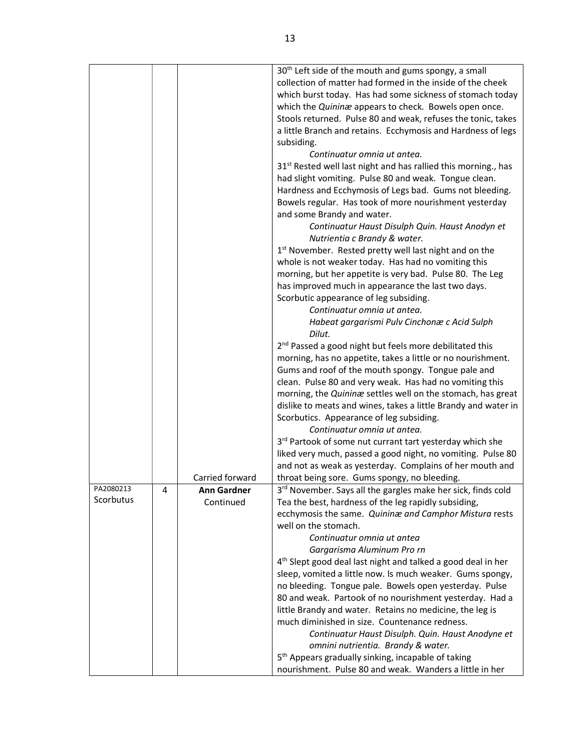|           |   |                    | 30 <sup>th</sup> Left side of the mouth and gums spongy, a small           |
|-----------|---|--------------------|----------------------------------------------------------------------------|
|           |   |                    | collection of matter had formed in the inside of the cheek                 |
|           |   |                    | which burst today. Has had some sickness of stomach today                  |
|           |   |                    | which the Quininæ appears to check. Bowels open once.                      |
|           |   |                    | Stools returned. Pulse 80 and weak, refuses the tonic, takes               |
|           |   |                    | a little Branch and retains. Ecchymosis and Hardness of legs               |
|           |   |                    | subsiding.                                                                 |
|           |   |                    | Continuatur omnia ut antea.                                                |
|           |   |                    | 31 <sup>st</sup> Rested well last night and has rallied this morning., has |
|           |   |                    | had slight vomiting. Pulse 80 and weak. Tongue clean.                      |
|           |   |                    | Hardness and Ecchymosis of Legs bad. Gums not bleeding.                    |
|           |   |                    | Bowels regular. Has took of more nourishment yesterday                     |
|           |   |                    | and some Brandy and water.                                                 |
|           |   |                    | Continuatur Haust Disulph Quin. Haust Anodyn et                            |
|           |   |                    | Nutrientia c Brandy & water.                                               |
|           |   |                    | 1 <sup>st</sup> November. Rested pretty well last night and on the         |
|           |   |                    | whole is not weaker today. Has had no vomiting this                        |
|           |   |                    | morning, but her appetite is very bad. Pulse 80. The Leg                   |
|           |   |                    | has improved much in appearance the last two days.                         |
|           |   |                    | Scorbutic appearance of leg subsiding.                                     |
|           |   |                    | Continuatur omnia ut antea.                                                |
|           |   |                    | Habeat gargarismi Pulv Cinchonæ c Acid Sulph                               |
|           |   |                    | Dilut.                                                                     |
|           |   |                    | 2 <sup>nd</sup> Passed a good night but feels more debilitated this        |
|           |   |                    | morning, has no appetite, takes a little or no nourishment.                |
|           |   |                    | Gums and roof of the mouth spongy. Tongue pale and                         |
|           |   |                    | clean. Pulse 80 and very weak. Has had no vomiting this                    |
|           |   |                    | morning, the Quininæ settles well on the stomach, has great                |
|           |   |                    | dislike to meats and wines, takes a little Brandy and water in             |
|           |   |                    | Scorbutics. Appearance of leg subsiding.                                   |
|           |   |                    | Continuatur omnia ut antea.                                                |
|           |   |                    | 3rd Partook of some nut currant tart yesterday which she                   |
|           |   |                    | liked very much, passed a good night, no vomiting. Pulse 80                |
|           |   |                    | and not as weak as yesterday. Complains of her mouth and                   |
|           |   | Carried forward    | throat being sore. Gums spongy, no bleeding.                               |
| PA2080213 | 4 | <b>Ann Gardner</b> | 3rd November. Says all the gargles make her sick, finds cold               |
| Scorbutus |   | Continued          | Tea the best, hardness of the leg rapidly subsiding,                       |
|           |   |                    | ecchymosis the same. Quininæ and Camphor Mistura rests                     |
|           |   |                    | well on the stomach.                                                       |
|           |   |                    | Continuatur omnia ut antea                                                 |
|           |   |                    | Gargarisma Aluminum Pro rn                                                 |
|           |   |                    | 4 <sup>th</sup> Slept good deal last night and talked a good deal in her   |
|           |   |                    | sleep, vomited a little now. Is much weaker. Gums spongy,                  |
|           |   |                    | no bleeding. Tongue pale. Bowels open yesterday. Pulse                     |
|           |   |                    | 80 and weak. Partook of no nourishment yesterday. Had a                    |
|           |   |                    | little Brandy and water. Retains no medicine, the leg is                   |
|           |   |                    | much diminished in size. Countenance redness.                              |
|           |   |                    | Continuatur Haust Disulph. Quin. Haust Anodyne et                          |
|           |   |                    | omnini nutrientia. Brandy & water.                                         |
|           |   |                    | 5 <sup>th</sup> Appears gradually sinking, incapable of taking             |
|           |   |                    | nourishment. Pulse 80 and weak. Wanders a little in her                    |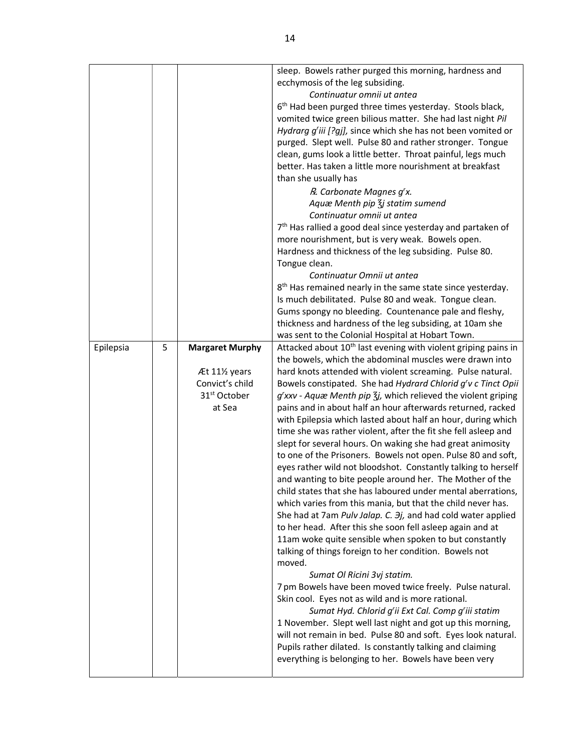|           |   |                                                                                                   | sleep. Bowels rather purged this morning, hardness and<br>ecchymosis of the leg subsiding.<br>Continuatur omnii ut antea<br>6 <sup>th</sup> Had been purged three times yesterday. Stools black,<br>vomited twice green bilious matter. She had last night Pil<br>Hydrarg g'iii [?gj], since which she has not been vomited or<br>purged. Slept well. Pulse 80 and rather stronger. Tongue<br>clean, gums look a little better. Throat painful, legs much<br>better. Has taken a little more nourishment at breakfast<br>than she usually has<br>R. Carbonate Magnes g'x.<br>Aquæ Menth pip $\overline{\xi}$ j statim sumend<br>Continuatur omnii ut antea<br>7 <sup>th</sup> Has rallied a good deal since yesterday and partaken of<br>more nourishment, but is very weak. Bowels open.<br>Hardness and thickness of the leg subsiding. Pulse 80.<br>Tongue clean.<br>Continuatur Omnii ut antea<br>8 <sup>th</sup> Has remained nearly in the same state since yesterday.<br>Is much debilitated. Pulse 80 and weak. Tongue clean.<br>Gums spongy no bleeding. Countenance pale and fleshy,<br>thickness and hardness of the leg subsiding, at 10am she<br>was sent to the Colonial Hospital at Hobart Town.                                                                                                                                                                                                                                                                                                                                                                                                                                       |
|-----------|---|---------------------------------------------------------------------------------------------------|-------------------------------------------------------------------------------------------------------------------------------------------------------------------------------------------------------------------------------------------------------------------------------------------------------------------------------------------------------------------------------------------------------------------------------------------------------------------------------------------------------------------------------------------------------------------------------------------------------------------------------------------------------------------------------------------------------------------------------------------------------------------------------------------------------------------------------------------------------------------------------------------------------------------------------------------------------------------------------------------------------------------------------------------------------------------------------------------------------------------------------------------------------------------------------------------------------------------------------------------------------------------------------------------------------------------------------------------------------------------------------------------------------------------------------------------------------------------------------------------------------------------------------------------------------------------------------------------------------------------------------------------------------|
| Epilepsia | 5 | <b>Margaret Murphy</b><br>Æt 111/2 years<br>Convict's child<br>31 <sup>st</sup> October<br>at Sea | Attacked about 10 <sup>th</sup> last evening with violent griping pains in<br>the bowels, which the abdominal muscles were drawn into<br>hard knots attended with violent screaming. Pulse natural.<br>Bowels constipated. She had Hydrard Chlorid g'v c Tinct Opii<br>g'xxv - Aquæ Menth pip 3j, which relieved the violent griping<br>pains and in about half an hour afterwards returned, racked<br>with Epilepsia which lasted about half an hour, during which<br>time she was rather violent, after the fit she fell asleep and<br>slept for several hours. On waking she had great animosity<br>to one of the Prisoners. Bowels not open. Pulse 80 and soft,<br>eyes rather wild not bloodshot. Constantly talking to herself<br>and wanting to bite people around her. The Mother of the<br>child states that she has laboured under mental aberrations,<br>which varies from this mania, but that the child never has.<br>She had at 7am Pulv Jalap. C. 3j, and had cold water applied<br>to her head. After this she soon fell asleep again and at<br>11am woke quite sensible when spoken to but constantly<br>talking of things foreign to her condition. Bowels not<br>moved.<br>Sumat Ol Ricini 3vj statim.<br>7 pm Bowels have been moved twice freely. Pulse natural.<br>Skin cool. Eyes not as wild and is more rational.<br>Sumat Hyd. Chlorid g'ii Ext Cal. Comp g'iii statim<br>1 November. Slept well last night and got up this morning,<br>will not remain in bed. Pulse 80 and soft. Eyes look natural.<br>Pupils rather dilated. Is constantly talking and claiming<br>everything is belonging to her. Bowels have been very |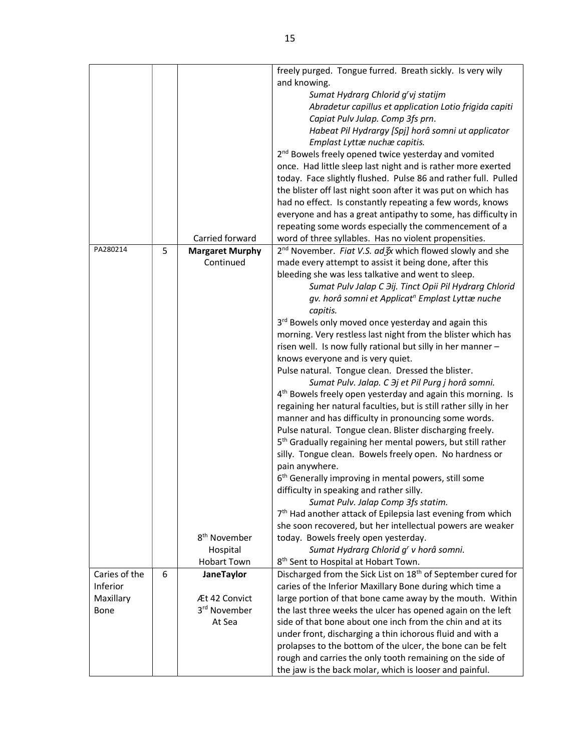|               |   |                          | freely purged. Tongue furred. Breath sickly. Is very wily                |  |  |  |  |  |  |
|---------------|---|--------------------------|--------------------------------------------------------------------------|--|--|--|--|--|--|
|               |   |                          | and knowing.                                                             |  |  |  |  |  |  |
|               |   |                          | Sumat Hydrarg Chlorid g'vj statijm                                       |  |  |  |  |  |  |
|               |   |                          | Abradetur capillus et application Lotio frigida capiti                   |  |  |  |  |  |  |
|               |   |                          | Capiat Pulv Julap. Comp 3fs prn.                                         |  |  |  |  |  |  |
|               |   |                          | Habeat Pil Hydrargy [Spj] horâ somni ut applicator                       |  |  |  |  |  |  |
|               |   |                          | Emplast Lyttæ nuchæ capitis.                                             |  |  |  |  |  |  |
|               |   |                          | 2 <sup>nd</sup> Bowels freely opened twice yesterday and vomited         |  |  |  |  |  |  |
|               |   |                          | once. Had little sleep last night and is rather more exerted             |  |  |  |  |  |  |
|               |   |                          | today. Face slightly flushed. Pulse 86 and rather full. Pulled           |  |  |  |  |  |  |
|               |   |                          | the blister off last night soon after it was put on which has            |  |  |  |  |  |  |
|               |   |                          | had no effect. Is constantly repeating a few words, knows                |  |  |  |  |  |  |
|               |   |                          | everyone and has a great antipathy to some, has difficulty in            |  |  |  |  |  |  |
|               |   |                          | repeating some words especially the commencement of a                    |  |  |  |  |  |  |
|               |   | Carried forward          | word of three syllables. Has no violent propensities.                    |  |  |  |  |  |  |
| PA280214      | 5 | <b>Margaret Murphy</b>   | 2 <sup>nd</sup> November. Fiat V.S. ad 3x which flowed slowly and she    |  |  |  |  |  |  |
|               |   | Continued                | made every attempt to assist it being done, after this                   |  |  |  |  |  |  |
|               |   |                          | bleeding she was less talkative and went to sleep.                       |  |  |  |  |  |  |
|               |   |                          | Sumat Pulv Jalap C Hij. Tinct Opii Pil Hydrarg Chlorid                   |  |  |  |  |  |  |
|               |   |                          | gv. horâ somni et Applicat <sup>n</sup> Emplast Lyttæ nuche              |  |  |  |  |  |  |
|               |   |                          | capitis.                                                                 |  |  |  |  |  |  |
|               |   |                          | 3rd Bowels only moved once yesterday and again this                      |  |  |  |  |  |  |
|               |   |                          | morning. Very restless last night from the blister which has             |  |  |  |  |  |  |
|               |   |                          | risen well. Is now fully rational but silly in her manner -              |  |  |  |  |  |  |
|               |   |                          | knows everyone and is very quiet.                                        |  |  |  |  |  |  |
|               |   |                          | Pulse natural. Tongue clean. Dressed the blister.                        |  |  |  |  |  |  |
|               |   |                          | Sumat Pulv. Jalap. C $\partial j$ et Pil Purg j horâ somni.              |  |  |  |  |  |  |
|               |   |                          | 4 <sup>th</sup> Bowels freely open yesterday and again this morning. Is  |  |  |  |  |  |  |
|               |   |                          | regaining her natural faculties, but is still rather silly in her        |  |  |  |  |  |  |
|               |   |                          | manner and has difficulty in pronouncing some words.                     |  |  |  |  |  |  |
|               |   |                          | Pulse natural. Tongue clean. Blister discharging freely.                 |  |  |  |  |  |  |
|               |   |                          | 5 <sup>th</sup> Gradually regaining her mental powers, but still rather  |  |  |  |  |  |  |
|               |   |                          | silly. Tongue clean. Bowels freely open. No hardness or                  |  |  |  |  |  |  |
|               |   |                          | pain anywhere.                                                           |  |  |  |  |  |  |
|               |   |                          | 6 <sup>th</sup> Generally improving in mental powers, still some         |  |  |  |  |  |  |
|               |   |                          | difficulty in speaking and rather silly.                                 |  |  |  |  |  |  |
|               |   |                          | Sumat Pulv. Jalap Comp 3fs statim.                                       |  |  |  |  |  |  |
|               |   |                          | 7 <sup>th</sup> Had another attack of Epilepsia last evening from which  |  |  |  |  |  |  |
|               |   |                          | she soon recovered, but her intellectual powers are weaker               |  |  |  |  |  |  |
|               |   | 8 <sup>th</sup> November | today. Bowels freely open yesterday.                                     |  |  |  |  |  |  |
|               |   | Hospital                 | Sumat Hydrarg Chlorid g' v horâ somni.                                   |  |  |  |  |  |  |
|               |   | <b>Hobart Town</b>       | 8 <sup>th</sup> Sent to Hospital at Hobart Town.                         |  |  |  |  |  |  |
| Caries of the | 6 | <b>JaneTaylor</b>        | Discharged from the Sick List on 18 <sup>th</sup> of September cured for |  |  |  |  |  |  |
| Inferior      |   |                          | caries of the Inferior Maxillary Bone during which time a                |  |  |  |  |  |  |
| Maxillary     |   | Æt 42 Convict            | large portion of that bone came away by the mouth. Within                |  |  |  |  |  |  |
| Bone          |   | 3 <sup>rd</sup> November | the last three weeks the ulcer has opened again on the left              |  |  |  |  |  |  |
|               |   | At Sea                   | side of that bone about one inch from the chin and at its                |  |  |  |  |  |  |
|               |   |                          | under front, discharging a thin ichorous fluid and with a                |  |  |  |  |  |  |
|               |   |                          | prolapses to the bottom of the ulcer, the bone can be felt               |  |  |  |  |  |  |
|               |   |                          | rough and carries the only tooth remaining on the side of                |  |  |  |  |  |  |
|               |   |                          | the jaw is the back molar, which is looser and painful.                  |  |  |  |  |  |  |
|               |   |                          |                                                                          |  |  |  |  |  |  |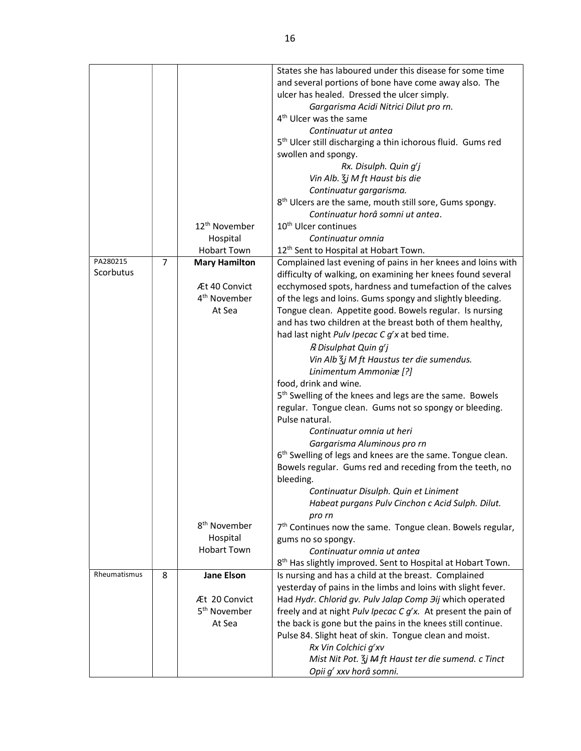|                       |                |                           | States she has laboured under this disease for some time                |  |  |  |  |  |  |
|-----------------------|----------------|---------------------------|-------------------------------------------------------------------------|--|--|--|--|--|--|
|                       |                |                           | and several portions of bone have come away also. The                   |  |  |  |  |  |  |
|                       |                |                           | ulcer has healed. Dressed the ulcer simply.                             |  |  |  |  |  |  |
|                       |                |                           | Gargarisma Acidi Nitrici Dilut pro rn.                                  |  |  |  |  |  |  |
|                       |                |                           | 4 <sup>th</sup> Ulcer was the same                                      |  |  |  |  |  |  |
|                       |                |                           | Continuatur ut antea                                                    |  |  |  |  |  |  |
|                       |                |                           | 5 <sup>th</sup> Ulcer still discharging a thin ichorous fluid. Gums red |  |  |  |  |  |  |
|                       |                |                           | swollen and spongy.                                                     |  |  |  |  |  |  |
|                       |                |                           | Rx. Disulph. Quin g'j                                                   |  |  |  |  |  |  |
|                       |                |                           | Vin Alb. $\frac{2}{3}$ j M ft Haust bis die                             |  |  |  |  |  |  |
|                       |                |                           | Continuatur gargarisma.                                                 |  |  |  |  |  |  |
|                       |                |                           | 8 <sup>th</sup> Ulcers are the same, mouth still sore, Gums spongy.     |  |  |  |  |  |  |
|                       |                |                           | Continuatur horâ somni ut antea.                                        |  |  |  |  |  |  |
|                       |                | 12 <sup>th</sup> November | 10 <sup>th</sup> Ulcer continues                                        |  |  |  |  |  |  |
|                       |                |                           |                                                                         |  |  |  |  |  |  |
|                       |                | Hospital                  | Continuatur omnia                                                       |  |  |  |  |  |  |
|                       |                | <b>Hobart Town</b>        | 12 <sup>th</sup> Sent to Hospital at Hobart Town.                       |  |  |  |  |  |  |
| PA280215<br>Scorbutus | $\overline{7}$ | <b>Mary Hamilton</b>      | Complained last evening of pains in her knees and loins with            |  |  |  |  |  |  |
|                       |                |                           | difficulty of walking, on examining her knees found several             |  |  |  |  |  |  |
|                       |                | Æt 40 Convict             | ecchymosed spots, hardness and tumefaction of the calves                |  |  |  |  |  |  |
|                       |                | 4 <sup>th</sup> November  | of the legs and loins. Gums spongy and slightly bleeding.               |  |  |  |  |  |  |
|                       |                | At Sea                    | Tongue clean. Appetite good. Bowels regular. Is nursing                 |  |  |  |  |  |  |
|                       |                |                           | and has two children at the breast both of them healthy,                |  |  |  |  |  |  |
|                       |                |                           | had last night Pulv Ipecac C g'x at bed time.                           |  |  |  |  |  |  |
|                       |                |                           | R Disulphat Quin g'j                                                    |  |  |  |  |  |  |
|                       |                |                           | Vin Alb $\zeta$ j M ft Haustus ter die sumendus.                        |  |  |  |  |  |  |
|                       |                |                           | Linimentum Ammoniæ [?]                                                  |  |  |  |  |  |  |
|                       |                |                           | food, drink and wine.                                                   |  |  |  |  |  |  |
|                       |                |                           | 5 <sup>th</sup> Swelling of the knees and legs are the same. Bowels     |  |  |  |  |  |  |
|                       |                |                           | regular. Tongue clean. Gums not so spongy or bleeding.                  |  |  |  |  |  |  |
|                       |                |                           | Pulse natural.                                                          |  |  |  |  |  |  |
|                       |                |                           | Continuatur omnia ut heri                                               |  |  |  |  |  |  |
|                       |                |                           | Gargarisma Aluminous pro rn                                             |  |  |  |  |  |  |
|                       |                |                           | 6 <sup>th</sup> Swelling of legs and knees are the same. Tongue clean.  |  |  |  |  |  |  |
|                       |                |                           | Bowels regular. Gums red and receding from the teeth, no                |  |  |  |  |  |  |
|                       |                |                           | bleeding.                                                               |  |  |  |  |  |  |
|                       |                |                           |                                                                         |  |  |  |  |  |  |
|                       |                |                           | Continuatur Disulph. Quin et Liniment                                   |  |  |  |  |  |  |
|                       |                |                           | Habeat purgans Pulv Cinchon c Acid Sulph. Dilut.                        |  |  |  |  |  |  |
|                       |                | 8 <sup>th</sup> November  | pro rn                                                                  |  |  |  |  |  |  |
|                       |                |                           | 7 <sup>th</sup> Continues now the same. Tongue clean. Bowels regular,   |  |  |  |  |  |  |
|                       |                | Hospital                  | gums no so spongy.                                                      |  |  |  |  |  |  |
|                       |                | <b>Hobart Town</b>        | Continuatur omnia ut antea                                              |  |  |  |  |  |  |
|                       |                |                           | 8 <sup>th</sup> Has slightly improved. Sent to Hospital at Hobart Town. |  |  |  |  |  |  |
| Rheumatismus          | 8              | <b>Jane Elson</b>         | Is nursing and has a child at the breast. Complained                    |  |  |  |  |  |  |
|                       |                |                           | yesterday of pains in the limbs and loins with slight fever.            |  |  |  |  |  |  |
|                       |                | Æt 20 Convict             | Had Hydr. Chlorid gv. Pulv Jalap Comp Jij which operated                |  |  |  |  |  |  |
|                       |                | 5 <sup>th</sup> November  | freely and at night Pulv Ipecac C g'x. At present the pain of           |  |  |  |  |  |  |
|                       |                | At Sea                    | the back is gone but the pains in the knees still continue.             |  |  |  |  |  |  |
|                       |                |                           | Pulse 84. Slight heat of skin. Tongue clean and moist.                  |  |  |  |  |  |  |
|                       |                |                           | Rx Vin Colchici g'xv                                                    |  |  |  |  |  |  |
|                       |                |                           | Mist Nit Pot. $\zeta$ j M ft Haust ter die sumend. c Tinct              |  |  |  |  |  |  |
|                       |                |                           | Opii g' xxv horâ somni.                                                 |  |  |  |  |  |  |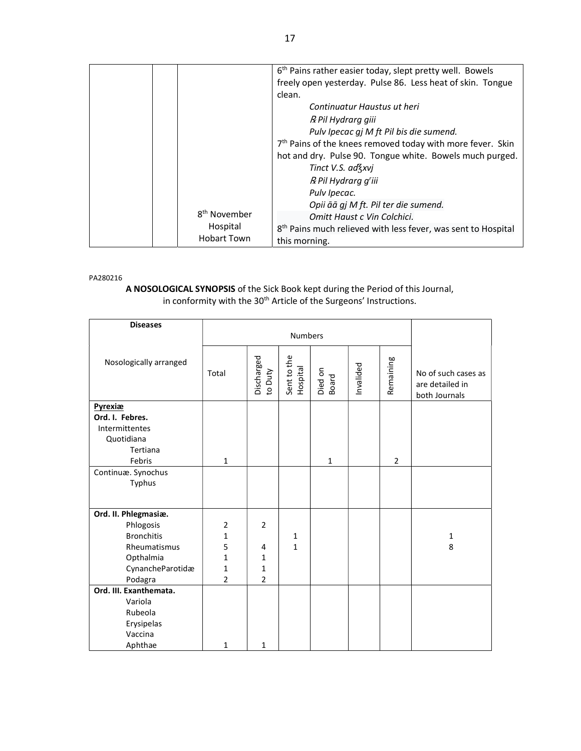|  |                                      |                             | 6 <sup>th</sup> Pains rather easier today, slept pretty well. Bowels<br>freely open yesterday. Pulse 86. Less heat of skin. Tongue<br>clean.<br>Continuatur Haustus ut heri<br>R Pil Hydrarg giii<br>Pulv Ipecac gj M ft Pil bis die sumend. |  |  |
|--|--------------------------------------|-----------------------------|----------------------------------------------------------------------------------------------------------------------------------------------------------------------------------------------------------------------------------------------|--|--|
|  |                                      |                             | 7 <sup>th</sup> Pains of the knees removed today with more fever. Skin<br>hot and dry. Pulse 90. Tongue white. Bowels much purged.<br>Tinct V.S. ad Zxvi                                                                                     |  |  |
|  |                                      |                             | R Pil Hydrarg g'iii<br>Pulv Ipecac.<br>Opii āā gj M ft. Pil ter die sumend.                                                                                                                                                                  |  |  |
|  | 8 <sup>th</sup> November<br>Hospital | Omitt Haust c Vin Colchici. |                                                                                                                                                                                                                                              |  |  |
|  |                                      |                             | 8 <sup>th</sup> Pains much relieved with less fever, was sent to Hospital                                                                                                                                                                    |  |  |
|  |                                      | <b>Hobart Town</b>          | this morning.                                                                                                                                                                                                                                |  |  |

#### PA280216

### A NOSOLOGICAL SYNOPSIS of the Sick Book kept during the Period of this Journal, in conformity with the 30<sup>th</sup> Article of the Surgeons' Instructions.

| <b>Diseases</b>        |                |                       | <b>Numbers</b>          |                  |           |                |                                                         |
|------------------------|----------------|-----------------------|-------------------------|------------------|-----------|----------------|---------------------------------------------------------|
|                        |                |                       |                         |                  |           |                |                                                         |
| Nosologically arranged | Total          | Discharged<br>to Duty | Sent to the<br>Hospital | Died on<br>Board | Invalided | Remaining      | No of such cases as<br>are detailed in<br>both Journals |
| Pyrexiæ                |                |                       |                         |                  |           |                |                                                         |
| Ord. I. Febres.        |                |                       |                         |                  |           |                |                                                         |
| Intermittentes         |                |                       |                         |                  |           |                |                                                         |
| Quotidiana<br>Tertiana |                |                       |                         |                  |           |                |                                                         |
| Febris                 | $\mathbf{1}$   |                       |                         | $\mathbf{1}$     |           | $\overline{2}$ |                                                         |
| Continuæ. Synochus     |                |                       |                         |                  |           |                |                                                         |
| Typhus                 |                |                       |                         |                  |           |                |                                                         |
|                        |                |                       |                         |                  |           |                |                                                         |
| Ord. II. Phlegmasiæ.   |                |                       |                         |                  |           |                |                                                         |
| Phlogosis              | $\overline{2}$ | $\overline{2}$        |                         |                  |           |                |                                                         |
| <b>Bronchitis</b>      | 1              |                       | 1                       |                  |           |                | $\mathbf{1}$                                            |
| Rheumatismus           | 5              | 4                     | 1                       |                  |           |                | 8                                                       |
| Opthalmia              | 1              | 1                     |                         |                  |           |                |                                                         |
| CynancheParotidæ       | $\mathbf 1$    | $\mathbf 1$           |                         |                  |           |                |                                                         |
| Podagra                | $\overline{2}$ | $\overline{2}$        |                         |                  |           |                |                                                         |
| Ord. III. Exanthemata. |                |                       |                         |                  |           |                |                                                         |
| Variola                |                |                       |                         |                  |           |                |                                                         |
| Rubeola                |                |                       |                         |                  |           |                |                                                         |
| Erysipelas             |                |                       |                         |                  |           |                |                                                         |
| Vaccina                |                |                       |                         |                  |           |                |                                                         |
| Aphthae                | $\mathbf{1}$   | 1                     |                         |                  |           |                |                                                         |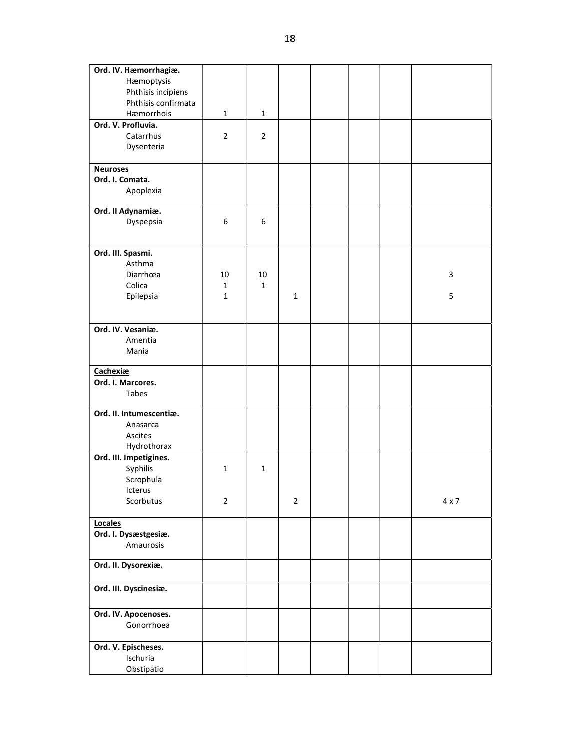| Ord. IV. Hæmorrhagiæ.             |                |                |                |  |              |
|-----------------------------------|----------------|----------------|----------------|--|--------------|
| Hæmoptysis                        |                |                |                |  |              |
| Phthisis incipiens                |                |                |                |  |              |
| Phthisis confirmata               |                |                |                |  |              |
| Hæmorrhois                        | $\mathbf{1}$   | $\mathbf 1$    |                |  |              |
| Ord. V. Profluvia.                |                |                |                |  |              |
| Catarrhus                         | $\overline{2}$ | $\overline{2}$ |                |  |              |
| Dysenteria                        |                |                |                |  |              |
| <b>Neuroses</b>                   |                |                |                |  |              |
| Ord. I. Comata.                   |                |                |                |  |              |
| Apoplexia                         |                |                |                |  |              |
| Ord. II Adynamiæ.                 |                |                |                |  |              |
| Dyspepsia                         | 6              | 6              |                |  |              |
|                                   |                |                |                |  |              |
| Ord. III. Spasmi.<br>Asthma       |                |                |                |  |              |
| Diarrhœa                          | 10             | 10             |                |  | 3            |
| Colica                            | $\mathbf{1}$   | $\mathbf{1}$   |                |  |              |
| Epilepsia                         | $\mathbf{1}$   |                | $\mathbf{1}$   |  | 5            |
|                                   |                |                |                |  |              |
| Ord. IV. Vesaniæ.                 |                |                |                |  |              |
| Amentia                           |                |                |                |  |              |
| Mania                             |                |                |                |  |              |
|                                   |                |                |                |  |              |
| Cachexiæ                          |                |                |                |  |              |
| Ord. I. Marcores.                 |                |                |                |  |              |
| Tabes                             |                |                |                |  |              |
| Ord. II. Intumescentiæ.           |                |                |                |  |              |
| Anasarca                          |                |                |                |  |              |
| Ascites                           |                |                |                |  |              |
| Hydrothorax                       |                |                |                |  |              |
| Ord. III. Impetigines.            |                |                |                |  |              |
| Syphilis                          | $\mathbf 1$    | $\mathbf{1}$   |                |  |              |
| Scrophula                         |                |                |                |  |              |
| Icterus<br>Scorbutus              | $\overline{2}$ |                | $\overline{2}$ |  | $4 \times 7$ |
|                                   |                |                |                |  |              |
| Locales                           |                |                |                |  |              |
| Ord. I. Dysæstgesiæ.<br>Amaurosis |                |                |                |  |              |
|                                   |                |                |                |  |              |
| Ord. II. Dysorexiæ.               |                |                |                |  |              |
| Ord. III. Dyscinesiæ.             |                |                |                |  |              |
| Ord. IV. Apocenoses.              |                |                |                |  |              |
| Gonorrhoea                        |                |                |                |  |              |
|                                   |                |                |                |  |              |
| Ord. V. Epischeses.               |                |                |                |  |              |
| Ischuria                          |                |                |                |  |              |
| Obstipatio                        |                |                |                |  |              |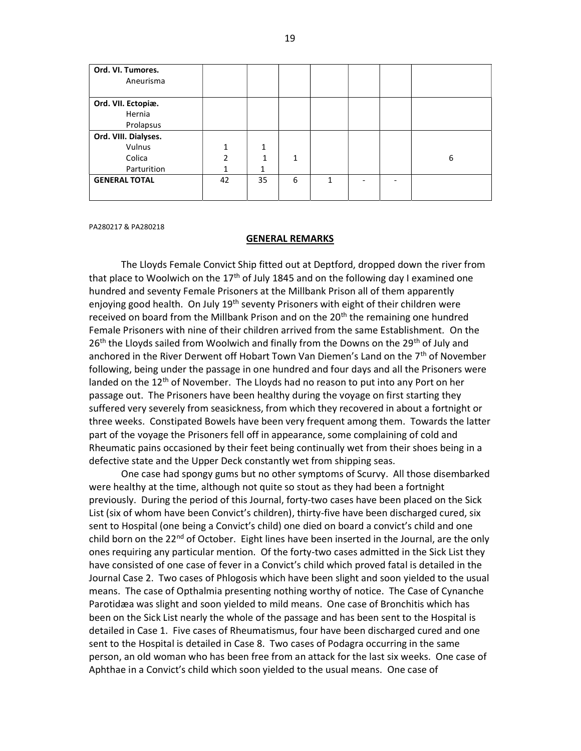| Ord. VI. Tumores.<br>Aneurisma |    |    |   |   |  |   |
|--------------------------------|----|----|---|---|--|---|
|                                |    |    |   |   |  |   |
| Ord. VII. Ectopiæ.             |    |    |   |   |  |   |
| Hernia                         |    |    |   |   |  |   |
| Prolapsus                      |    |    |   |   |  |   |
| Ord. VIII. Dialyses.           |    |    |   |   |  |   |
| Vulnus                         |    | 1  |   |   |  |   |
| Colica                         | ำ  | 1  | 1 |   |  | 6 |
| Parturition                    |    |    |   |   |  |   |
| <b>GENERAL TOTAL</b>           | 42 | 35 | 6 | 1 |  |   |
|                                |    |    |   |   |  |   |

PA280217 & PA280218

### GENERAL REMARKS

 The Lloyds Female Convict Ship fitted out at Deptford, dropped down the river from that place to Woolwich on the 17<sup>th</sup> of July 1845 and on the following day I examined one hundred and seventy Female Prisoners at the Millbank Prison all of them apparently enjoving good health. On July 19<sup>th</sup> seventy Prisoners with eight of their children were received on board from the Millbank Prison and on the  $20<sup>th</sup>$  the remaining one hundred Female Prisoners with nine of their children arrived from the same Establishment. On the 26<sup>th</sup> the Lloyds sailed from Woolwich and finally from the Downs on the 29<sup>th</sup> of July and anchored in the River Derwent off Hobart Town Van Diemen's Land on the 7th of November following, being under the passage in one hundred and four days and all the Prisoners were landed on the 12<sup>th</sup> of November. The Lloyds had no reason to put into any Port on her passage out. The Prisoners have been healthy during the voyage on first starting they suffered very severely from seasickness, from which they recovered in about a fortnight or three weeks. Constipated Bowels have been very frequent among them. Towards the latter part of the voyage the Prisoners fell off in appearance, some complaining of cold and Rheumatic pains occasioned by their feet being continually wet from their shoes being in a defective state and the Upper Deck constantly wet from shipping seas.

 One case had spongy gums but no other symptoms of Scurvy. All those disembarked were healthy at the time, although not quite so stout as they had been a fortnight previously. During the period of this Journal, forty-two cases have been placed on the Sick List (six of whom have been Convict's children), thirty-five have been discharged cured, six sent to Hospital (one being a Convict's child) one died on board a convict's child and one child born on the 22<sup>nd</sup> of October. Eight lines have been inserted in the Journal, are the only ones requiring any particular mention. Of the forty-two cases admitted in the Sick List they have consisted of one case of fever in a Convict's child which proved fatal is detailed in the Journal Case 2. Two cases of Phlogosis which have been slight and soon yielded to the usual means. The case of Opthalmia presenting nothing worthy of notice. The Case of Cynanche Parotidæa was slight and soon yielded to mild means. One case of Bronchitis which has been on the Sick List nearly the whole of the passage and has been sent to the Hospital is detailed in Case 1. Five cases of Rheumatismus, four have been discharged cured and one sent to the Hospital is detailed in Case 8. Two cases of Podagra occurring in the same person, an old woman who has been free from an attack for the last six weeks. One case of Aphthae in a Convict's child which soon yielded to the usual means. One case of